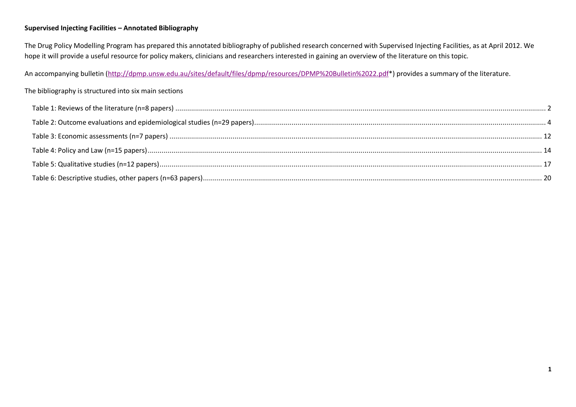#### **Supervised Injecting Facilities – Annotated Bibliography**

The Drug Policy Modelling Program has prepared this annotated bibliography of published research concerned with Supervised Injecting Facilities, as at April 2012. We hope it will provide a useful resource for policy makers, clinicians and researchers interested in gaining an overview of the literature on this topic.

An accompanying bulletin [\(http://dpmp.unsw.edu.au/sites/default/files/dpmp/resources/DPMP%20Bulletin%2022.pdf\\*](http://dpmp.unsw.edu.au/sites/default/files/dpmp/resources/DPMP%20Bulletin%2022.pdf)) provides a summary of the literature.

#### The bibliography is structured into six main sections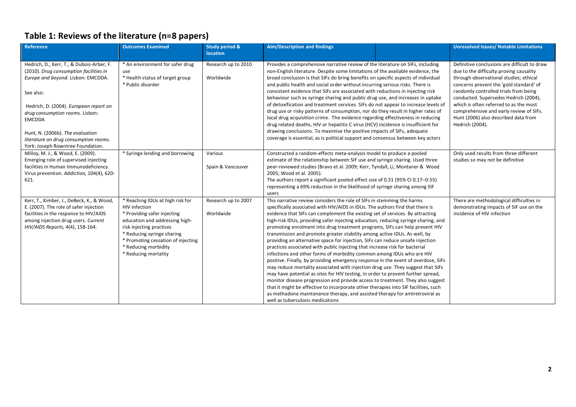# <span id="page-1-0"></span>**Table 1: Reviews of the literature (n=8 papers)**

| Reference                                                                                                                                                                                                                                                                                                                                              | <b>Outcomes Examined</b>                                                                                                                                                                                                                                           | <b>Study period &amp;</b><br><b>location</b> | <b>Aim/Description and findings</b>                                                                                                                                                                                                                                                                                                                                                                                                                                                                                                                                                                                                                                                                                                                                                                                                                                                                                                                                                                                                                                                                                                                                                                                                                                                           |  | <b>Unresolved Issues/ Notable Limitations</b>                                                                                                                                                                                                                                                                                                                                                                  |
|--------------------------------------------------------------------------------------------------------------------------------------------------------------------------------------------------------------------------------------------------------------------------------------------------------------------------------------------------------|--------------------------------------------------------------------------------------------------------------------------------------------------------------------------------------------------------------------------------------------------------------------|----------------------------------------------|-----------------------------------------------------------------------------------------------------------------------------------------------------------------------------------------------------------------------------------------------------------------------------------------------------------------------------------------------------------------------------------------------------------------------------------------------------------------------------------------------------------------------------------------------------------------------------------------------------------------------------------------------------------------------------------------------------------------------------------------------------------------------------------------------------------------------------------------------------------------------------------------------------------------------------------------------------------------------------------------------------------------------------------------------------------------------------------------------------------------------------------------------------------------------------------------------------------------------------------------------------------------------------------------------|--|----------------------------------------------------------------------------------------------------------------------------------------------------------------------------------------------------------------------------------------------------------------------------------------------------------------------------------------------------------------------------------------------------------------|
| Hedrich, D., Kerr, T., & Dubois-Arber, F.<br>(2010). Drug consumption facilities in<br>Europe and beyond. Lisbon: EMCDDA.<br>See also:<br>Hedrich, D. (2004). European report on<br>drug consumption rooms. Lisbon:<br><b>EMCDDA</b><br>Hunt, N. (2006b). The evaluation<br>literature on drug consumption rooms.<br>York: Joseph Rowntree Foundation. | * An environment for safer drug<br>use<br>* Health status of target group<br>* Public disorder                                                                                                                                                                     | Research up to 2010<br>Worldwide             | Provides a comprehensive narrative review of the literature on SIFs, including<br>non-English literature. Despite some limitations of the available evidence, the<br>broad conclusion is that SIFs do bring benefits on specific aspects of individual<br>and public health and social order without incurring serious risks. There is<br>consistent evidence that SIFs are associated with reductions in injecting risk<br>behaviour such as syringe sharing and public drug use, and increases in uptake<br>of detoxification and treatment services. SIFs do not appear to increase levels of<br>drug use or risky patterns of consumption, nor do they result in higher rates of<br>local drug acquisition crime. The evidence regarding effectiveness in reducing<br>drug related deaths, HIV or hepatitis C virus (HCV) incidence is insufficient for<br>drawing conclusions. To maximise the positive impacts of SIFs, adequate<br>coverage is essential, as is political support and consensus between key actors                                                                                                                                                                                                                                                                     |  | Definitive conclusions are difficult to draw<br>due to the difficulty proving causality<br>through observational studies; ethical<br>concerns prevent the 'gold standard' of<br>randomly controlled trials from being<br>conducted. Supersedes Hedrich (2004),<br>which is often referred to as the most<br>comprehensive and early review of SIFs.<br>Hunt (2006) also described data from<br>Hedrich (2004). |
| Milloy, M. J., & Wood, E. (2009).<br>Emerging role of supervised injecting<br>facilities in Human Immunodeficiency<br>Virus prevention. Addiction, 104(4), 620-<br>621.                                                                                                                                                                                | * Syringe lending and borrowing                                                                                                                                                                                                                                    | Various<br>Spain & Vancouver                 | Constructed a random-effects meta-analysis model to produce a pooled<br>estimate of the relationship between SIF use and syringe sharing. Used three<br>peer-reviewed studies (Bravo et al. 2009; Kerr, Tyndall, Li, Montaner & Wood<br>2005; Wood et al. 2005).<br>The authors report a significant pooled effect size of 0.31 (95% CI 0.17-0.55)<br>representing a 69% reduction in the likelihood of syringe sharing among SIF<br>users                                                                                                                                                                                                                                                                                                                                                                                                                                                                                                                                                                                                                                                                                                                                                                                                                                                    |  | Only used results from three different<br>studies so may not be definitive                                                                                                                                                                                                                                                                                                                                     |
| Kerr, T., Kimber, J., DeBeck, K., & Wood,<br>E. (2007). The role of safer injection<br>facilities in the response to HIV/AIDS<br>among injection drug users. Current<br>HIV/AIDS Reports, 4(4), 158-164.                                                                                                                                               | * Reaching IDUs at high risk for<br>HIV infection<br>* Providing safer injecting<br>education and addressing high-<br>risk injecting practices<br>* Reducing syringe sharing<br>* Promoting cessation of injecting<br>* Reducing morbidity<br>* Reducing mortality | Research up to 2007<br>Worldwide             | This narrative review considers the role of SIFs in stemming the harms<br>specifically associated with HIV/AIDS in IDUs. The authors find that there is<br>evidence that SIFs can complement the existing set of services. By attracting<br>high-risk IDUs, providing safer injecting education, reducing syringe sharing, and<br>promoting enrolment into drug treatment programs, SIFs can help prevent HIV<br>transmission and promote greater stability among active IDUs. As well, by<br>providing an alternative space for injection, SIFs can reduce unsafe injection<br>practices associated with public injecting that increase risk for bacterial<br>infections and other forms of morbidity common among IDUs who are HIV<br>positive. Finally, by providing emergency response in the event of overdose, SIFs<br>may reduce mortality associated with injection drug use. They suggest that SIFs<br>may have potential as sites for HIV testing, in order to prevent further spread,<br>monitor disease progression and provide access to treatment. They also suggest<br>that it might be effective to incorporate other therapies into SIF facilities, such<br>as methadone maintenance therapy, and assisted therapy for antiretroviral as<br>well as tuberculosis medications |  | There are methodological difficulties in<br>demonstrating impacts of SIF use on the<br>incidence of HIV infection                                                                                                                                                                                                                                                                                              |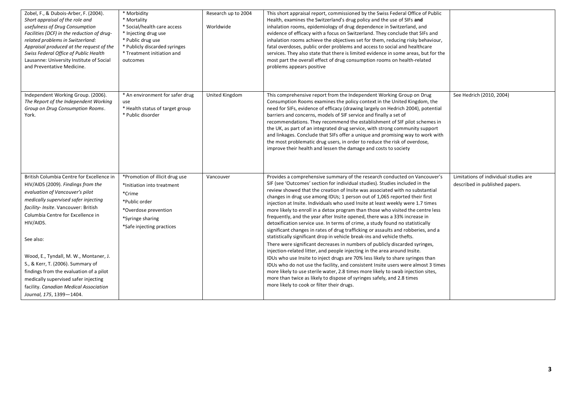| Zobel, F., & Dubois-Arber, F. (2004).<br>Short appraisal of the role and<br>usefulness of Drug Consumption<br>Facilities (DCF) in the reduction of drug-<br>related problems in Switzerland:<br>Appraisal produced at the request of the<br>Swiss Federal Office of Public Health<br>Lausanne: University Institute of Social<br>and Preventative Medicine.                                                                                                                                               | * Morbidity<br>* Mortality<br>* Social/health care access<br>* Injecting drug use<br>* Public drug use<br>* Publicly discarded syringes<br>* Treatment initiation and<br>outcomes | Research up to 2004<br>Worldwide | This short appraisal report, commissioned by the Swiss Federal Office of Public<br>Health, examines the Switzerland's drug policy and the use of SIFs and<br>inhalation rooms, epidemiology of drug dependence in Switzerland, and<br>evidence of efficacy with a focus on Switzerland. They conclude that SIFs and<br>inhalation rooms achieve the objectives set for them, reducing risky behaviour,<br>fatal overdoses, public order problems and access to social and healthcare<br>services. They also state that there is limited evidence in some areas, but for the<br>most part the overall effect of drug consumption rooms on health-related<br>problems appears positive                                                                                                                                                                                                                                                                                                                                                                                                                                                                                                                                                                                                                                                                                       |                                                                         |
|-----------------------------------------------------------------------------------------------------------------------------------------------------------------------------------------------------------------------------------------------------------------------------------------------------------------------------------------------------------------------------------------------------------------------------------------------------------------------------------------------------------|-----------------------------------------------------------------------------------------------------------------------------------------------------------------------------------|----------------------------------|----------------------------------------------------------------------------------------------------------------------------------------------------------------------------------------------------------------------------------------------------------------------------------------------------------------------------------------------------------------------------------------------------------------------------------------------------------------------------------------------------------------------------------------------------------------------------------------------------------------------------------------------------------------------------------------------------------------------------------------------------------------------------------------------------------------------------------------------------------------------------------------------------------------------------------------------------------------------------------------------------------------------------------------------------------------------------------------------------------------------------------------------------------------------------------------------------------------------------------------------------------------------------------------------------------------------------------------------------------------------------|-------------------------------------------------------------------------|
| Independent Working Group. (2006).<br>The Report of the Independent Working<br>Group on Drug Consumption Rooms.<br>York.                                                                                                                                                                                                                                                                                                                                                                                  | * An environment for safer drug<br>use<br>* Health status of target group<br>* Public disorder                                                                                    | United Kingdom                   | This comprehensive report from the Independent Working Group on Drug<br>Consumption Rooms examines the policy context in the United Kingdom, the<br>need for SIFs, evidence of efficacy (drawing largely on Hedrich 2004), potential<br>barriers and concerns, models of SIF service and finally a set of<br>recommendations. They recommend the establishment of SIF pilot schemes in<br>the UK, as part of an integrated drug service, with strong community support<br>and linkages. Conclude that SIFs offer a unique and promising way to work with<br>the most problematic drug users, in order to reduce the risk of overdose,<br>improve their health and lessen the damage and costs to society                                                                                                                                                                                                                                                                                                                                                                                                                                                                                                                                                                                                                                                                   | See Hedrich (2010, 2004)                                                |
| British Columbia Centre for Excellence in<br>HIV/AIDS (2009). Findings from the<br>evaluation of Vancouver's pilot<br>medically supervised safer injecting<br>facility- Insite. Vancouver: British<br>Columbia Centre for Excellence in<br>HIV/AIDS.<br>See also:<br>Wood, E., Tyndall, M. W., Montaner, J.<br>S., & Kerr, T. (2006). Summary of<br>findings from the evaluation of a pilot<br>medically supervised safer injecting<br>facility. Canadian Medical Association<br>Journal, 175, 1399-1404. | *Promotion of illicit drug use<br>*Initiation into treatment<br>*Crime<br>*Public order<br>*Overdose prevention<br>*Syringe sharing<br>*Safe injecting practices                  | Vancouver                        | Provides a comprehensive summary of the research conducted on Vancouver's<br>SIF (see 'Outcomes' section for individual studies). Studies included in the<br>review showed that the creation of Insite was associated with no substantial<br>changes in drug use among IDUs; 1 person out of 1,065 reported their first<br>injection at Insite. Individuals who used Insite at least weekly were 1.7 times<br>more likely to enroll in a detox program than those who visited the centre less<br>frequently, and the year after Insite opened, there was a 33% increase in<br>detoxification service use. In terms of crime, a study found no statistically<br>significant changes in rates of drug trafficking or assaults and robberies, and a<br>statistically significant drop in vehicle break-ins and vehicle thefts.<br>There were significant decreases in numbers of publicly discarded syringes,<br>injection-related litter, and people injecting in the area around Insite.<br>IDUs who use Insite to inject drugs are 70% less likely to share syringes than<br>IDUs who do not use the facility, and consistent Insite users were almost 3 times<br>more likely to use sterile water, 2.8 times more likely to swab injection sites,<br>more than twice as likely to dispose of syringes safely, and 2.8 times<br>more likely to cook or filter their drugs. | Limitations of individual studies are<br>described in published papers. |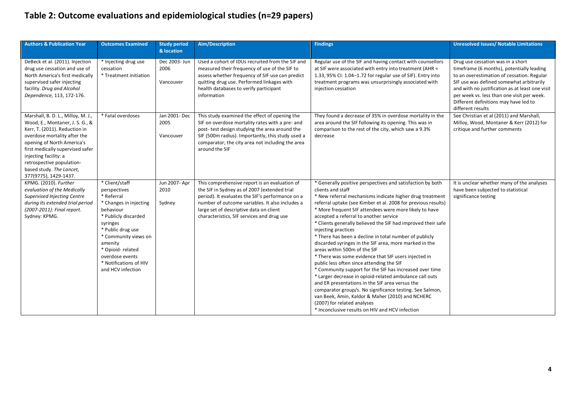# <span id="page-3-0"></span>**Table 2: Outcome evaluations and epidemiological studies (n=29 papers)**

| <b>Authors &amp; Publication Year</b>                                                                                                                                                                                                                                                                               | <b>Outcomes Examined</b>                                                                                                                                                                                                                                              | <b>Study period</b><br>& location  | Aim/Description                                                                                                                                                                                                                                                                               | <b>Findings</b>                                                                                                                                                                                                                                                                                                                                                                                                                                                                                                                                                                                                                                                                                                                                                                                                                                                                                                                                                                                                                             | <b>Unresolved Issues/ Notable Limitations</b>                                                                                                                                                                                                                                                                                           |
|---------------------------------------------------------------------------------------------------------------------------------------------------------------------------------------------------------------------------------------------------------------------------------------------------------------------|-----------------------------------------------------------------------------------------------------------------------------------------------------------------------------------------------------------------------------------------------------------------------|------------------------------------|-----------------------------------------------------------------------------------------------------------------------------------------------------------------------------------------------------------------------------------------------------------------------------------------------|---------------------------------------------------------------------------------------------------------------------------------------------------------------------------------------------------------------------------------------------------------------------------------------------------------------------------------------------------------------------------------------------------------------------------------------------------------------------------------------------------------------------------------------------------------------------------------------------------------------------------------------------------------------------------------------------------------------------------------------------------------------------------------------------------------------------------------------------------------------------------------------------------------------------------------------------------------------------------------------------------------------------------------------------|-----------------------------------------------------------------------------------------------------------------------------------------------------------------------------------------------------------------------------------------------------------------------------------------------------------------------------------------|
| DeBeck et al. (2011). Injection<br>drug use cessation and use of<br>North America's first medically<br>supervised safer injecting<br>facility. Drug and Alcohol<br>Dependence, 113, 172-176.                                                                                                                        | * Injecting drug use<br>cessation<br>* Treatment initiation                                                                                                                                                                                                           | Dec 2003- Jun<br>2006<br>Vancouver | Used a cohort of IDUs recruited from the SIF and<br>measured their frequency of use of the SIF to<br>assess whether frequency of SIF use can predict<br>quitting drug use. Performed linkages with<br>health databases to verify participant<br>information                                   | Regular use of the SIF and having contact with counsellors<br>at SIF were associated with entry into treatment (AHR =<br>1.33, 95% CI: 1.04-1.72 for regular use of SIF). Entry into<br>treatment programs was unsurprisingly associated with<br>injection cessation                                                                                                                                                                                                                                                                                                                                                                                                                                                                                                                                                                                                                                                                                                                                                                        | Drug use cessation was in a short<br>timeframe (6 months), potentially leading<br>to an overestimation of cessation. Regular<br>SIF use was defined somewhat arbitrarily<br>and with no justification as at least one visit<br>per week vs. less than one visit per week.<br>Different definitions may have led to<br>different results |
| Marshall, B. D. L., Milloy, M. J.,<br>Wood, E., Montaner, J. S. G., &<br>Kerr, T. (2011). Reduction in<br>overdose mortality after the<br>opening of North America's<br>first medically supervised safer<br>injecting facility: a<br>retrospective population-<br>based study. The Lancet,<br>377(9775), 1429-1437. | * Fatal overdoses                                                                                                                                                                                                                                                     | Jan 2001- Dec<br>2005<br>Vancouver | This study examined the effect of opening the<br>SIF on overdose mortality rates with a pre- and<br>post- test design studying the area around the<br>SIF (500m radius). Importantly, this study used a<br>comparator; the city area not including the area<br>around the SIF                 | They found a decrease of 35% in overdose mortality in the<br>area around the SIF following its opening. This was in<br>comparison to the rest of the city, which saw a 9.3%<br>decrease                                                                                                                                                                                                                                                                                                                                                                                                                                                                                                                                                                                                                                                                                                                                                                                                                                                     | See Christian et al (2011) and Marshall,<br>Milloy, Wood, Montaner & Kerr (2012) for<br>critique and further comments                                                                                                                                                                                                                   |
| KPMG. (2010). Further<br>evaluation of the Medically<br>Supervised Injecting Centre<br>during its extended trial period<br>(2007-2011): Final report.<br>Sydney: KPMG.                                                                                                                                              | * Client/staff<br>perspectives<br>* Referral<br>* Changes in injecting<br>behaviour<br>* Publicly discarded<br>syringes<br>* Public drug use<br>* Community views on<br>amenity<br>* Opioid-related<br>overdose events<br>* Notifications of HIV<br>and HCV infection | Jun 2007- Apr<br>2010<br>Sydney    | This comprehensive report is an evaluation of<br>the SIF in Sydney as of 2007 (extended trial<br>period). It evaluates the SIF's performance on a<br>number of outcome variables. It also includes a<br>large set of descriptive data on client<br>characteristics, SIF services and drug use | * Generally positive perspectives and satisfaction by both<br>clients and staff<br>* New referral mechanisms indicate higher drug treatment<br>referral uptake (see Kimber et al. 2008 for previous results)<br>* More frequent SIF attendees were more likely to have<br>accepted a referral to another service<br>* Clients generally believed the SIF had improved their safe<br>injecting practices<br>* There has been a decline in total number of publicly<br>discarded syringes in the SIF area, more marked in the<br>areas within 500m of the SIF<br>* There was some evidence that SIF users injected in<br>public less often since attending the SIF<br>* Community support for the SIF has increased over time<br>* Larger decrease in opioid-related ambulance call outs<br>and ER presentations in the SIF area versus the<br>comparator group/s. No significance testing. See Salmon,<br>van Beek, Amin, Kaldor & Maher (2010) and NCHERC<br>(2007) for related analyses<br>* Inconclusive results on HIV and HCV infection | It is unclear whether many of the analyses<br>have been subjected to statistical<br>significance testing                                                                                                                                                                                                                                |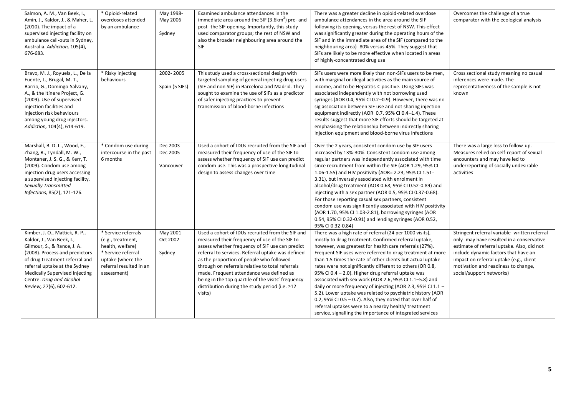| Salmon, A. M., Van Beek, I.,<br>Amin, J., Kaldor, J., & Maher, L.<br>(2010). The impact of a<br>supervised injecting facility on<br>ambulance call-outs in Sydney,<br>Australia. Addiction, 105(4),<br>676-683.                                                                          | * Opioid-related<br>overdoses attended<br>by an ambulance                                                                                         | May 1998-<br>May 2006<br>Sydney    | Examined ambulance attendances in the<br>immediate area around the SIF (3.6km <sup>2</sup> ) pre- and<br>post-the SIF opening. Importantly, this study<br>used comparator groups; the rest of NSW and<br>also the broader neighbouring area around the<br><b>SIF</b>                                                                                                                                                                                                     | There was a greater decline in opioid-related overdose<br>ambulance attendances in the area around the SIF<br>following its opening, versus the rest of NSW. This effect<br>was significantly greater during the operating hours of the<br>SIF and in the immediate area of the SIF (compared to the<br>neighbouring area)- 80% versus 45%. They suggest that<br>SIFs are likely to be more effective when located in areas<br>of highly-concentrated drug use                                                                                                                                                                                                                                                                                                                                  | Overcomes the challenge of a true<br>comparator with the ecological analysis                                                                                                                                                                                                                   |
|------------------------------------------------------------------------------------------------------------------------------------------------------------------------------------------------------------------------------------------------------------------------------------------|---------------------------------------------------------------------------------------------------------------------------------------------------|------------------------------------|--------------------------------------------------------------------------------------------------------------------------------------------------------------------------------------------------------------------------------------------------------------------------------------------------------------------------------------------------------------------------------------------------------------------------------------------------------------------------|-------------------------------------------------------------------------------------------------------------------------------------------------------------------------------------------------------------------------------------------------------------------------------------------------------------------------------------------------------------------------------------------------------------------------------------------------------------------------------------------------------------------------------------------------------------------------------------------------------------------------------------------------------------------------------------------------------------------------------------------------------------------------------------------------|------------------------------------------------------------------------------------------------------------------------------------------------------------------------------------------------------------------------------------------------------------------------------------------------|
| Bravo, M. J., Royuela, L., De la<br>Fuente, L., Brugal, M. T.,<br>Barrio, G., Domingo-Salvany,<br>A., & the Itínere Project, G.<br>(2009). Use of supervised<br>injection facilities and<br>injection risk behaviours<br>among young drug injectors.<br>Addiction, 104(4), 614-619.      | * Risky injecting<br>behaviours                                                                                                                   | 2002-2005<br>Spain (5 SIFs)        | This study used a cross-sectional design with<br>targeted sampling of general injecting drug users<br>(SIF and non SIF) in Barcelona and Madrid. They<br>sought to examine the use of SIFs as a predictor<br>of safer injecting practices to prevent<br>transmission of blood-borne infections                                                                                                                                                                           | SIFs users were more likely than non-SIFs users to be men,<br>with marginal or illegal activities as the main source of<br>income, and to be Hepatitis-C positive. Using SIFs was<br>associated independently with not borrowing used<br>syringes (AOR 0.4, 95% CI 0.2-0.9). However, there was no<br>sig association between SIF use and not sharing injection<br>equipment indirectly (AOR 0.7, 95% CI 0.4-1.4). These<br>results suggest that more SIF efforts should be targeted at<br>emphasising the relationship between indirectly sharing<br>injection equipment and blood-borne virus infections                                                                                                                                                                                      | Cross sectional study meaning no casual<br>inferences were made. The<br>representativeness of the sample is not<br>known                                                                                                                                                                       |
| Marshall, B. D. L., Wood, E.,<br>Zhang, R., Tyndall, M. W.,<br>Montaner, J. S. G., & Kerr, T.<br>(2009). Condom use among<br>injection drug users accessing<br>a supervised injecting facility.<br><b>Sexually Transmitted</b><br>Infections, 85(2), 121-126.                            | * Condom use during<br>intercourse in the past<br>6 months                                                                                        | Dec 2003-<br>Dec 2005<br>Vancouver | Used a cohort of IDUs recruited from the SIF and<br>measured their frequency of use of the SIF to<br>assess whether frequency of SIF use can predict<br>condom use. This was a prospective longitudinal<br>design to assess changes over time                                                                                                                                                                                                                            | Over the 2 years, consistent condom use by SIF users<br>increased by 13%-30%. Consistent condom use among<br>regular partners was independently associated with time<br>since recruitment from within the SIF (AOR 1.29, 95% CI<br>1.06-1.55) and HIV positivity (AOR= 2.23, 95% CI 1.51-<br>3.31), but inversely associated with enrolment in<br>alcohol/drug treatment (AOR 0.68, 95% CI 0.52-0.89) and<br>injecting with a sex partner (AOR 0.5, 95% CI 0.37-0.68).<br>For those reporting casual sex partners, consistent<br>condom use was significantly associated with HIV positivity<br>(AOR 1.70, 95% CI 1.03-2.81), borrowing syringes (AOR<br>0.54, 95% CI 0.32-0.91) and lending syringes (AOR 0.52,<br>95% CI 0.32-0.84)                                                           | There was a large loss to follow-up.<br>Measures relied on self-report of sexual<br>encounters and may have led to<br>underreporting of socially undesirable<br>activities                                                                                                                     |
| Kimber, J. O., Mattick, R. P.,<br>Kaldor, J., Van Beek, I.,<br>Gilmour, S., & Rance, J. A.<br>(2008). Process and predictors<br>of drug treatment referral and<br>referral uptake at the Sydney<br>Medically Supervised Injecting<br>Centre. Drug and Alcohol<br>Review, 27(6), 602-612. | * Service referrals<br>(e.g., treatment,<br>health, welfare)<br>* Service referral<br>uptake (where the<br>referral resulted in an<br>assessment) | May 2001-<br>Oct 2002<br>Sydney    | Used a cohort of IDUs recruited from the SIF and<br>measured their frequency of use of the SIF to<br>assess whether frequency of SIF use can predict<br>referral to services. Referral uptake was defined<br>as the proportion of people who followed<br>through on referrals relative to total referrals<br>made. Frequent attendance was defined as<br>being in the top quartile of the visits' frequency<br>distribution during the study period (i.e. ≥12<br>visits) | There was a high rate of referral (24 per 1000 visits),<br>mostly to drug treatment. Confirmed referral uptake,<br>however, was greatest for health care referrals (27%).<br>Frequent SIF uses were referred to drug treatment at more<br>than 1.5 times the rate of other clients but actual uptake<br>rates were not significantly different to others (OR 0.8,<br>95% CI 0.4 - 2.0). Higher drug referral uptake was<br>associated with sex work (AOR 2.6, 95% CI 1.1-5.8) and<br>daily or more frequency of injecting (AOR 2.3, 95% CI 1.1 -<br>5.2). Lower uptake was related to psychiatric history (AOR<br>0.2, 95% CI 0.5 - 0.7). Also, they noted that over half of<br>referral uptakes were to a nearby health/treatment<br>service, signalling the importance of integrated services | Stringent referral variable- written referral<br>only- may have resulted in a conservative<br>estimate of referral uptake. Also, did not<br>include dynamic factors that have an<br>impact on referral uptake (e.g., client<br>motivation and readiness to change,<br>social/support networks) |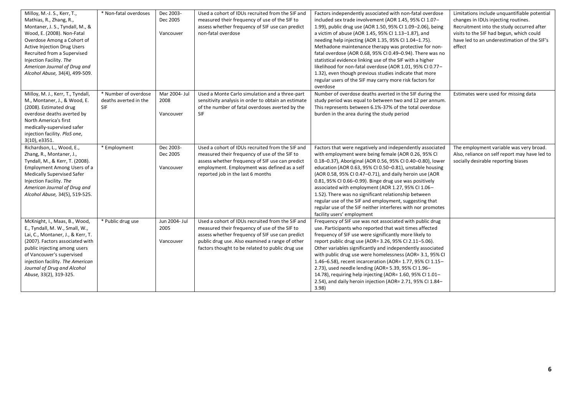| Milloy, M.-J. S., Kerr, T.,<br>Mathias, R., Zhang, R.,<br>Montaner, J. S., Tyndall, M., &<br>Wood, E. (2008). Non-Fatal<br>Overdose Among a Cohort of<br><b>Active Injection Drug Users</b><br>Recruited from a Supervised<br>Injection Facility. The<br>American Journal of Drug and<br>Alcohol Abuse, 34(4), 499-509. | * Non-fatal overdoses                                | Dec 2003-<br>Dec 2005<br>Vancouver | Used a cohort of IDUs recruited from the SIF and<br>measured their frequency of use of the SIF to<br>assess whether frequency of SIF use can predict<br>non-fatal overdose                                                                                  | Factors independently associated with non-fatal overdose<br>included sex trade involvement (AOR 1.45, 95% CI 1.07-<br>1.99), public drug use (AOR 1.50, 95% CI 1.09-2.06), being<br>a victim of abuse (AOR 1.45, 95% CI 1.13-1.87), and<br>needing help injecting (AOR 1.35, 95% CI 1.04-1.75).<br>Methadone maintenance therapy was protective for non-<br>fatal overdose (AOR 0.68, 95% CI 0.49-0.94). There was no<br>statistical evidence linking use of the SIF with a higher<br>likelihood for non-fatal overdose (AOR 1.01, 95% CI 0.77-<br>1.32), even though previous studies indicate that more<br>regular users of the SIF may carry more risk factors for<br>overdose | Limitations include unquantifiable potential<br>changes in IDUs injecting routines.<br>Recruitment into the study occurred after<br>visits to the SIF had begun, which could<br>have led to an underestimation of the SIF's<br>effect |
|-------------------------------------------------------------------------------------------------------------------------------------------------------------------------------------------------------------------------------------------------------------------------------------------------------------------------|------------------------------------------------------|------------------------------------|-------------------------------------------------------------------------------------------------------------------------------------------------------------------------------------------------------------------------------------------------------------|-----------------------------------------------------------------------------------------------------------------------------------------------------------------------------------------------------------------------------------------------------------------------------------------------------------------------------------------------------------------------------------------------------------------------------------------------------------------------------------------------------------------------------------------------------------------------------------------------------------------------------------------------------------------------------------|---------------------------------------------------------------------------------------------------------------------------------------------------------------------------------------------------------------------------------------|
| Milloy, M. J., Kerr, T., Tyndall,<br>M., Montaner, J., & Wood, E.<br>(2008). Estimated drug<br>overdose deaths averted by<br>North America's first<br>medically-supervised safer<br>injection facility. PloS one,<br>3(10), e3351.                                                                                      | * Number of overdose<br>deaths averted in the<br>SIF | Mar 2004- Jul<br>2008<br>Vancouver | Used a Monte Carlo simulation and a three-part<br>sensitivity analysis in order to obtain an estimate<br>of the number of fatal overdoses averted by the<br><b>SIF</b>                                                                                      | Number of overdose deaths averted in the SIF during the<br>study period was equal to between two and 12 per annum.<br>This represents between 6.1%-37% of the total overdose<br>burden in the area during the study period                                                                                                                                                                                                                                                                                                                                                                                                                                                        | Estimates were used for missing data                                                                                                                                                                                                  |
| Richardson, L., Wood, E.,<br>Zhang, R., Montaner, J.,<br>Tyndall, M., & Kerr, T. (2008).<br>Employment Among Users of a<br><b>Medically Supervised Safer</b><br>Injection Facility. The<br>American Journal of Drug and<br>Alcohol Abuse, 34(5), 519-525.                                                               | * Employment                                         | Dec 2003-<br>Dec 2005<br>Vancouver | Used a cohort of IDUs recruited from the SIF and<br>measured their frequency of use of the SIF to<br>assess whether frequency of SIF use can predict<br>employment. Employment was defined as a self<br>reported job in the last 6 months                   | Factors that were negatively and independently associated<br>with employment were being female (AOR 0.26, 95% CI<br>0.18-0.37), Aboriginal (AOR 0.56, 95% CI 0.40-0.80), lower<br>education (AOR 0.63, 95% CI 0.50-0.81), unstable housing<br>(AOR 0.58, 95% CI 0.47-0.71), and daily heroin use (AOR<br>0.81, 95% CI 0.66-0.99). Binge drug use was positively<br>associated with employment (AOR 1.27, 95% CI 1.06-<br>1.52). There was no significant relationship between<br>regular use of the SIF and employment, suggesting that<br>regular use of the SIF neither interferes with nor promotes<br>facility users' employment                                              | The employment variable was very broad.<br>Also, reliance on self report may have led to<br>socially desirable reporting biases                                                                                                       |
| McKnight, I., Maas, B., Wood,<br>E., Tyndall, M. W., Small, W.,<br>Lai, C., Montaner, J., & Kerr, T.<br>(2007). Factors associated with<br>public injecting among users<br>of Vancouver's supervised<br>injection facility. The American<br>Journal of Drug and Alcohol<br>Abuse, 33(2), 319-325.                       | * Public drug use                                    | Jun 2004- Jul<br>2005<br>Vancouver | Used a cohort of IDUs recruited from the SIF and<br>measured their frequency of use of the SIF to<br>assess whether frequency of SIF use can predict<br>public drug use. Also examined a range of other<br>factors thought to be related to public drug use | Frequency of SIF use was not associated with public drug<br>use. Participants who reported that wait times affected<br>frequency of SIF use were significantly more likely to<br>report public drug use (AOR= 3.26, 95% CI 2.11-5.06).<br>Other variables significantly and independently associated<br>with public drug use were homelessness (AOR= 3.1, 95% CI<br>1.46-6.58), recent incarceration (AOR= 1.77, 95% CI 1.15-<br>2.73), used needle lending (AOR= 5.39, 95% CI 1.96-<br>14.78), requiring help injecting (AOR= 1.60, 95% CI 1.01-<br>2.54), and daily heroin injection (AOR= 2.71, 95% CI 1.84-<br>3.98                                                           |                                                                                                                                                                                                                                       |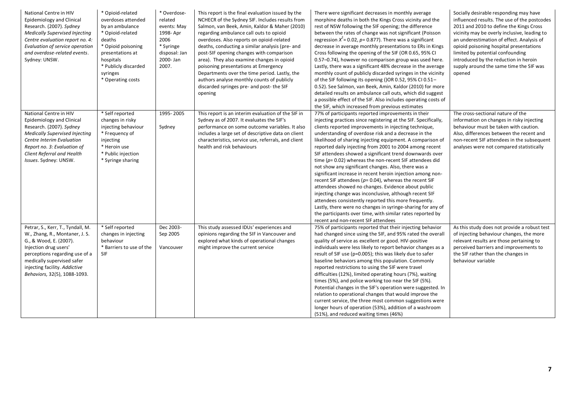| National Centre in HIV<br>Epidemiology and Clinical<br>Research. (2007). Sydney<br>Medically Supervised Injecting<br>Centre evaluation report no. 4:<br>Evaluation of service operation<br>and overdose-related events.<br>Sydney: UNSW.                | * Opioid-related<br>overdoses attended<br>by an ambulance<br>* Opioid-related<br>deaths<br>* Opioid poisoning<br>presentations at<br>hospitals<br>* Publicly discarded<br>syringes<br>* Operating costs | * Overdose-<br>related<br>events: May<br>1998- Apr<br>2006<br>* Syringe<br>disposal: Jan<br>2000-Jan<br>2007. | This report is the final evaluation issued by the<br>NCHECR of the Sydney SIF. Includes results from<br>Salmon, van Beek, Amin, Kaldor & Maher (2010)<br>regarding ambulance call outs to opioid<br>overdoses. Also reports on opioid-related<br>deaths, conducting a similar analysis (pre- and<br>post-SIF opening changes with comparison<br>area). They also examine changes in opioid<br>poisoning presentations at Emergency<br>Departments over the time period. Lastly, the<br>authors analyse monthly counts of publicly<br>discarded syringes pre- and post- the SIF<br>opening | There were significant decreases in monthly average<br>morphine deaths in both the Kings Cross vicinity and the<br>rest of NSW following the SIF opening; the difference<br>between the rates of change was not significant (Poisson<br>regression $X^2$ = 0.02, p= 0.877). There was a significant<br>decrease in average monthly presentations to ERs in Kings<br>Cross following the opening of the SIF (OR 0.65, 95% CI)<br>0.57-0.74), however no comparison group was used here.<br>Lastly, there was a significant 48% decrease in the average<br>monthly count of publicly discarded syringes in the vicinity<br>of the SIF following its opening ()OR 0.52, 95% CI 0.51-<br>0.52). See Salmon, van Beek, Amin, Kaldor (2010) for more<br>detailed results on ambulance call outs, which did suggest<br>a possible effect of the SIF. Also includes operating costs of<br>the SIF, which increased from previous estimates                                                                                        | Socially desirable responding may have<br>influenced results. The use of the postcodes<br>2011 and 2010 to define the Kings Cross<br>vicinity may be overly inclusive, leading to<br>an underestimation of effect. Analysis of<br>opioid poisoning hospital presentations<br>limited by potential confounding<br>introduced by the reduction in heroin<br>supply around the same time the SIF was<br>opened |
|---------------------------------------------------------------------------------------------------------------------------------------------------------------------------------------------------------------------------------------------------------|---------------------------------------------------------------------------------------------------------------------------------------------------------------------------------------------------------|---------------------------------------------------------------------------------------------------------------|-------------------------------------------------------------------------------------------------------------------------------------------------------------------------------------------------------------------------------------------------------------------------------------------------------------------------------------------------------------------------------------------------------------------------------------------------------------------------------------------------------------------------------------------------------------------------------------------|---------------------------------------------------------------------------------------------------------------------------------------------------------------------------------------------------------------------------------------------------------------------------------------------------------------------------------------------------------------------------------------------------------------------------------------------------------------------------------------------------------------------------------------------------------------------------------------------------------------------------------------------------------------------------------------------------------------------------------------------------------------------------------------------------------------------------------------------------------------------------------------------------------------------------------------------------------------------------------------------------------------------------|-------------------------------------------------------------------------------------------------------------------------------------------------------------------------------------------------------------------------------------------------------------------------------------------------------------------------------------------------------------------------------------------------------------|
| National Centre in HIV<br>Epidemiology and Clinical<br>Research. (2007). Sydney<br><b>Medically Supervised Injecting</b><br>Centre Interim Evaluation<br>Report no. 3: Evaluation of<br>Client Referral and Health<br>Issues. Sydney: UNSW.             | * Self reported<br>changes in risky<br>injecting behaviour<br>* Frequency of<br>injecting<br>* Heroin use<br>* Public injection<br>* Syringe sharing                                                    | 1995-2005<br>Sydney                                                                                           | This report is an interim evaluation of the SIF in<br>Sydney as of 2007. It evaluates the SIF's<br>performance on some outcome variables. It also<br>includes a large set of descriptive data on client<br>characteristics, service use, referrals, and client<br>health and risk behaviours                                                                                                                                                                                                                                                                                              | 77% of participants reported improvements in their<br>injecting practices since registering at the SIF. Specifically,<br>clients reported improvements in injecting technique,<br>understanding of overdose risk and a decrease in the<br>likelihood of sharing injecting equipment. A comparison of<br>reported daily injecting from 2001 to 2004 among recent<br>SIF attendees showed a significant trend downwards over<br>time ( $p = 0.02$ ) whereas the non-recent SIF attendees did<br>not show any significant changes. Also, there was a<br>significant increase in recent heroin injection among non-<br>recent SIF attendees ( $p=0.04$ ), whereas the recent SIF<br>attendees showed no changes. Evidence about public<br>injecting change was inconclusive, although recent SIF<br>attendees consistently reported this more frequently.<br>Lastly, there were no changes in syringe-sharing for any of<br>the participants over time, with similar rates reported by<br>recent and non-recent SIF attendees | The cross-sectional nature of the<br>information on changes in risky injecting<br>behaviour must be taken with caution.<br>Also, differences between the recent and<br>non-recent SIF attendees in the subsequent<br>analyses were not compared statistically                                                                                                                                               |
| Petrar, S., Kerr, T., Tyndall, M.<br>W., Zhang, R., Montaner, J. S.<br>G., & Wood, E. (2007).<br>Injection drug users'<br>perceptions regarding use of a<br>medically supervised safer<br>injecting facility. Addictive<br>Behaviors, 32(5), 1088-1093. | * Self reported<br>changes in injecting<br>behaviour<br>* Barriers to use of the<br>SIF                                                                                                                 | Dec 2003-<br>Sep 2005<br>Vancouver                                                                            | This study assessed IDUs' experiences and<br>opinions regarding the SIF in Vancouver and<br>explored what kinds of operational changes<br>might improve the current service                                                                                                                                                                                                                                                                                                                                                                                                               | 75% of participants reported that their injecting behavior<br>had changed since using the SIF, and 95% rated the overall<br>quality of service as excellent or good. HIV-positive<br>individuals were less likely to report behavior changes as a<br>result of SIF use (p=0.005); this was likely due to safer<br>baseline behaviors among this population. Commonly<br>reported restrictions to using the SIF were travel<br>difficulties (12%), limited operating hours (7%), waiting<br>times (5%), and police working too near the SIF (5%).<br>Potential changes in the SIF's operation were suggested. In<br>relation to operational changes that would improve the<br>current service, the three most common suggestions were<br>longer hours of operation (53%), addition of a washroom<br>(51%), and reduced waiting times (46%)                                                                                                                                                                                 | As this study does not provide a robust test<br>of injecting behaviour changes, the more<br>relevant results are those pertaining to<br>perceived barriers and improvements to<br>the SIF rather than the changes in<br>behaviour variable                                                                                                                                                                  |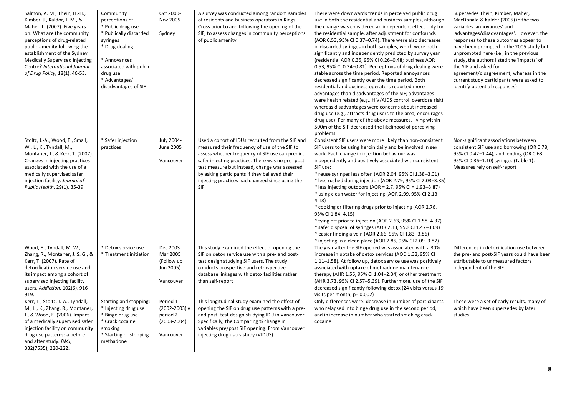| Salmon, A. M., Thein, H.-H.,<br>Kimber, J., Kaldor, J. M., &<br>Maher, L. (2007). Five years<br>on: What are the community<br>perceptions of drug-related<br>public amenity following the<br>establishment of the Sydney<br>Medically Supervised Injecting<br>Centre? International Journal<br>of Drug Policy, 18(1), 46-53. | Community<br>perceptions of:<br>* Public drug use<br>* Publically discarded<br>syringes<br>* Drug dealing<br>* Annoyances<br>associated with public<br>drug use<br>* Advantages/<br>disadvantages of SIF | Oct 2000-<br>Nov 2005<br>Sydney                                           | A survey was conducted among random samples<br>of residents and business operators in Kings<br>Cross prior to and following the opening of the<br>SIF, to assess changes in community perceptions<br>of public amenity                                                                                                                                                       | There were downwards trends in perceived public drug<br>use in both the residential and business samples, although<br>the change was considered an independent effect only for<br>the residential sample, after adjustment for confounds<br>(AOR 0.53, 95% CI 0.37-0.74). There were also decreases<br>in discarded syringes in both samples, which were both<br>significantly and independently predicted by survey year<br>(residential AOR 0.35, 95% CI 0.26-0.48; business AOR<br>0.53, 95% CI 0.34-0.81). Perceptions of drug dealing were<br>stable across the time period. Reported annoyances<br>decreased significantly over the time period. Both<br>residential and business operators reported more<br>advantages than disadvantages of the SIF; advantages<br>were health related (e.g., HIV/AIDS control, overdose risk)<br>whereas disadvantages were concerns about increased<br>drug use (e.g., attracts drug users to the area, encourages<br>drug use). For many of the above measures, living within<br>500m of the SIF decreased the likelihood of perceiving<br>problems | Supersedes Thein, Kimber, Maher,<br>MacDonald & Kaldor (2005) in the two<br>variables 'annoyances' and<br>'advantages/disadvantages'. However, the<br>responses to these outcomes appear to<br>have been prompted in the 2005 study but<br>unprompted here (i.e., in the previous<br>study, the authors listed the 'impacts' of<br>the SIF and asked for<br>agreement/disagreement, whereas in the<br>current study participants were asked to<br>identify potential responses) |
|------------------------------------------------------------------------------------------------------------------------------------------------------------------------------------------------------------------------------------------------------------------------------------------------------------------------------|----------------------------------------------------------------------------------------------------------------------------------------------------------------------------------------------------------|---------------------------------------------------------------------------|------------------------------------------------------------------------------------------------------------------------------------------------------------------------------------------------------------------------------------------------------------------------------------------------------------------------------------------------------------------------------|------------------------------------------------------------------------------------------------------------------------------------------------------------------------------------------------------------------------------------------------------------------------------------------------------------------------------------------------------------------------------------------------------------------------------------------------------------------------------------------------------------------------------------------------------------------------------------------------------------------------------------------------------------------------------------------------------------------------------------------------------------------------------------------------------------------------------------------------------------------------------------------------------------------------------------------------------------------------------------------------------------------------------------------------------------------------------------------------|---------------------------------------------------------------------------------------------------------------------------------------------------------------------------------------------------------------------------------------------------------------------------------------------------------------------------------------------------------------------------------------------------------------------------------------------------------------------------------|
| Stoltz, J.-A., Wood, E., Small,<br>W., Li, K., Tyndall, M.,<br>Montaner, J., & Kerr, T. (2007).<br>Changes in injecting practices<br>associated with the use of a<br>medically supervised safer<br>injection facility. Journal of<br>Public Health, 29(1), 35-39.                                                            | * Safer injection<br>practices                                                                                                                                                                           | July 2004-<br>June 2005<br>Vancouver                                      | Used a cohort of IDUs recruited from the SIF and<br>measured their frequency of use of the SIF to<br>assess whether frequency of SIF use can predict<br>safer injecting practices. There was no pre-post-<br>test measure but instead, change was assessed<br>by asking participants if they believed their<br>injecting practices had changed since using the<br><b>SIF</b> | Consistent SIF users were more likely than non-consistent<br>SIF users to be using heroin daily and be involved in sex<br>work. Each change in injection behaviour was<br>independently and positively associated with consistent<br>SIF use:<br>* reuse syringes less often (AOR 2.04, 95% CI 1.38-3.01)<br>* less rushed during injection (AOR 2.79, 95% CI 2.03-3.85)<br>* less injecting outdoors (AOR = 2.7, 95% CI = 1.93-3.87)<br>* using clean water for injecting (AOR 2.99, 95% CI 2.13-<br>4.18<br>* cooking or filtering drugs prior to injecting (AOR 2.76,<br>95% CI 1.84-4.15)<br>* tying off prior to injection (AOR 2.63, 95% CI 1.58-4.37)<br>* safer disposal of syringes (AOR 2.13, 95% CI 1.47-3.09)<br>* easier finding a vein (AOR 2.66, 95% CI 1.83-3.86)<br>* injecting in a clean place (AOR 2.85, 95% CI 2.09-3.87)                                                                                                                                                                                                                                                 | Non-significant associations between<br>consistent SIF use and borrowing (OR 0.78,<br>95% CI 0.42-1.44), and lending (OR 0.63,<br>95% CI 0.36-1.10) syringes (Table 1).<br>Measures rely on self-report                                                                                                                                                                                                                                                                         |
| Wood, E., Tyndall, M. W.,<br>Zhang, R., Montaner, J. S. G., &<br>Kerr, T. (2007). Rate of<br>detoxification service use and<br>its impact among a cohort of<br>supervised injecting facility<br>users. Addiction, 102(6), 916-<br>919.                                                                                       | * Detox service use<br>* Treatment initiation                                                                                                                                                            | Dec 2003-<br>Mar 2005<br>(Follow up<br>Jun 2005)<br>Vancouver             | This study examined the effect of opening the<br>SIF on detox service use with a pre- and post-<br>test design studying SIF users. The study<br>conducts prospective and retrospective<br>database linkages with detox facilities rather<br>than self-report                                                                                                                 | The year after the SIF opened was associated with a 30%<br>increase in uptake of detox services (AOD 1.32, 95% CI<br>1.11-1.58). At follow up, detox service use was positively<br>associated with uptake of methadone maintenance<br>therapy (AHR 1.56, 95% CI 1.04-2.34) or other treatment<br>(AHR 3.73, 95% CI 2.57-5.39). Furthermore, use of the SIF<br>decreased significantly following detox (24 visits versus 19<br>visits per month, p= 0.002)                                                                                                                                                                                                                                                                                                                                                                                                                                                                                                                                                                                                                                      | Differences in detoxification use between<br>the pre- and post-SIF years could have been<br>attributable to unmeasured factors<br>independent of the SIF                                                                                                                                                                                                                                                                                                                        |
| Kerr, T., Stoltz, J.-A., Tyndall,<br>M., Li, K., Zhang, R., Montaner,<br>J., & Wood, E. (2006). Impact<br>of a medically supervised safer<br>injection facility on community<br>drug use patterns: a before<br>and after study. BMJ,<br>332(7535), 220-222.                                                                  | Starting and stopping:<br>* Injecting drug use<br>* Binge drug use<br>* Crack cocaine<br>smoking<br>* Starting or stopping<br>methadone                                                                  | Period 1<br>$(2002 - 2003)$ v<br>period 2<br>$(2003 - 2004)$<br>Vancouver | This longitudinal study examined the effect of<br>opening the SIF on drug use patterns with a pre-<br>and post- test design studying IDU in Vancouver.<br>Specifically, the Comparing % change in<br>variables pre/post SIF opening. From Vancouver<br>injecting drug users study (VIDUS)                                                                                    | Only differences were: decrease in number of participants<br>who relapsed into binge drug use in the second period,<br>and in increase in number who started smoking crack<br>cocaine                                                                                                                                                                                                                                                                                                                                                                                                                                                                                                                                                                                                                                                                                                                                                                                                                                                                                                          | These were a set of early results, many of<br>which have been supersedes by later<br>studies                                                                                                                                                                                                                                                                                                                                                                                    |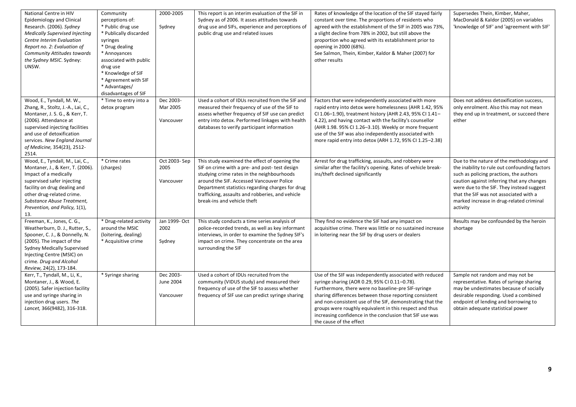| National Centre in HIV<br><b>Epidemiology and Clinical</b><br>Research. (2006). Sydney<br><b>Medically Supervised Injecting</b><br>Centre Interim Evaluation<br>Report no. 2: Evaluation of<br>Community Attitudes towards<br>the Sydney MSIC. Sydney:<br>UNSW.     | Community<br>perceptions of:<br>* Public drug use<br>* Publically discarded<br>syringes<br>* Drug dealing<br>* Annoyances<br>associated with public<br>drug use<br>* Knowledge of SIF<br>* Agreement with SIF<br>* Advantages/<br>disadvantages of SIF | 2000-2005<br>Sydney                 | This report is an interim evaluation of the SIF in<br>Sydney as of 2006. It asses attitudes towards<br>drug use and SIFs, experience and perceptions of<br>public drug use and related issues                                                                                                                                     | Rates of knowledge of the location of the SIF stayed fairly<br>constant over time. The proportions of residents who<br>agreed with the establishment of the SIF in 2005 was 73%,<br>a slight decline from 78% in 2002, but still above the<br>proportion who agreed with its establishment prior to<br>opening in 2000 (68%).<br>See Salmon, Thein, Kimber, Kaldor & Maher (2007) for<br>other results                                    | Supersedes Thein, Kimber, Maher,<br>MacDonald & Kaldor (2005) on variables<br>'knowledge of SIF' and 'agreement with SIF'                                                                                                                                                                                                         |
|---------------------------------------------------------------------------------------------------------------------------------------------------------------------------------------------------------------------------------------------------------------------|--------------------------------------------------------------------------------------------------------------------------------------------------------------------------------------------------------------------------------------------------------|-------------------------------------|-----------------------------------------------------------------------------------------------------------------------------------------------------------------------------------------------------------------------------------------------------------------------------------------------------------------------------------|-------------------------------------------------------------------------------------------------------------------------------------------------------------------------------------------------------------------------------------------------------------------------------------------------------------------------------------------------------------------------------------------------------------------------------------------|-----------------------------------------------------------------------------------------------------------------------------------------------------------------------------------------------------------------------------------------------------------------------------------------------------------------------------------|
| Wood, E., Tyndall, M. W.,<br>Zhang, R., Stoltz, J.-A., Lai, C.,<br>Montaner, J. S. G., & Kerr, T.<br>(2006). Attendance at<br>supervised injecting facilities<br>and use of detoxification<br>services. New England Journal<br>of Medicine, 354(23), 2512-<br>2514. | * Time to entry into a<br>detox program                                                                                                                                                                                                                | Dec 2003-<br>Mar 2005<br>Vancouver  | Used a cohort of IDUs recruited from the SIF and<br>measured their frequency of use of the SIF to<br>assess whether frequency of SIF use can predict<br>entry into detox. Performed linkages with health<br>databases to verify participant information                                                                           | Factors that were independently associated with more<br>rapid entry into detox were homelessness (AHR 1.42, 95%<br>CI 1.06-1.90), treatment history (AHR 2.43, 95% CI 1.41-<br>4.22), and having contact with the facility's counsellor<br>(AHR 1.98. 95% CI 1.26-3.10). Weekly or more frequent<br>use of the SIF was also independently associated with<br>more rapid entry into detox (ARH 1.72, 95% CI 1.25-2.38)                     | Does not address detoxification success,<br>only enrolment. Also this may not mean<br>they end up in treatment, or succeed there<br>either                                                                                                                                                                                        |
| Wood, E., Tyndall, M., Lai, C.,<br>Montaner, J., & Kerr, T. (2006).<br>Impact of a medically<br>supervised safer injecting<br>facility on drug dealing and<br>other drug-related crime.<br>Substance Abuse Treatment,<br>Prevention, and Policy, 1(1),<br>13.       | * Crime rates<br>(charges)                                                                                                                                                                                                                             | Oct 2003-Sep<br>2005<br>Vancouver   | This study examined the effect of opening the<br>SIF on crime with a pre- and post- test design<br>studying crime rates in the neighbourhoods<br>around the SIF. Accessed Vancouver Police<br>Department statistics regarding charges for drug<br>trafficking, assaults and robberies, and vehicle<br>break-ins and vehicle theft | Arrest for drug trafficking, assaults, and robbery were<br>similar after the facility's opening. Rates of vehicle break-<br>ins/theft declined significantly                                                                                                                                                                                                                                                                              | Due to the nature of the methodology and<br>the inability to rule out confounding factors<br>such as policing practices, the authors<br>caution against inferring that any changes<br>were due to the SIF. They instead suggest<br>that the SIF was not associated with a<br>marked increase in drug-related criminal<br>activity |
| Freeman, K., Jones, C. G.,<br>Weatherburn, D. J., Rutter, S.,<br>Spooner, C. J., & Donnelly, N.<br>(2005). The impact of the<br><b>Sydney Medically Supervised</b><br>Injecting Centre (MSIC) on<br>crime. Drug and Alcohol<br>Review, 24(2), 173-184.              | * Drug-related activity<br>around the MSIC<br>(loitering, dealing)<br>* Acquisitive crime                                                                                                                                                              | Jan 1999- Oct<br>2002<br>Sydney     | This study conducts a time series analysis of<br>police-recorded trends, as well as key informant<br>interviews, in order to examine the Sydney SIF's<br>impact on crime. They concentrate on the area<br>surrounding the SIF                                                                                                     | They find no evidence the SIF had any impact on<br>acquisitive crime. There was little or no sustained increase<br>in loitering near the SIF by drug users or dealers                                                                                                                                                                                                                                                                     | Results may be confounded by the heroin<br>shortage                                                                                                                                                                                                                                                                               |
| Kerr, T., Tyndall, M., Li, K.,<br>Montaner, J., & Wood, E.<br>(2005). Safer injection facility<br>use and syringe sharing in<br>injection drug users. The<br>Lancet, 366(9482), 316-318.                                                                            | * Syringe sharing                                                                                                                                                                                                                                      | Dec 2003-<br>June 2004<br>Vancouver | Used a cohort of IDUs recruited from the<br>community (VIDUS study) and measured their<br>frequency of use of the SIF to assess whether<br>frequency of SIF use can predict syringe sharing                                                                                                                                       | Use of the SIF was independently associated with reduced<br>syringe sharing (AOR 0.29, 95% CI 0.11-0.78).<br>Furthermore, there were no baseline-pre SIF-syringe<br>sharing differences between those reporting consistent<br>and non-consistent use of the SIF, demonstrating that the<br>groups were roughly equivalent in this respect and thus<br>increasing confidence in the conclusion that SIF use was<br>the cause of the effect | Sample not random and may not be<br>representative. Rates of syringe sharing<br>may be undestimates because of socially<br>desirable responding. Used a combined<br>endpoint of lending and borrowing to<br>obtain adequate statistical power                                                                                     |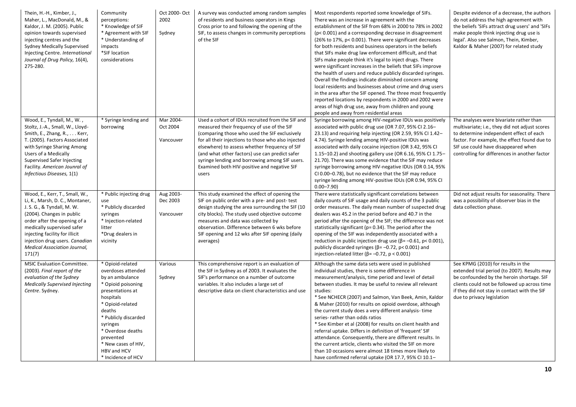| Thein, H.-H., Kimber, J.,<br>Maher, L., MacDonald, M., &<br>Kaldor, J. M. (2005). Public<br>opinion towards supervised<br>injecting centres and the<br><b>Sydney Medically Supervised</b><br>Injecting Centre. International<br>Journal of Drug Policy, 16(4),<br>275-280.                               | Community<br>perceptions:<br>* Knowledge of SIF<br>* Agreement with SIF<br>* Understanding of<br>impacts<br>*SIF location<br>considerations                                                                                                                                      | Oct 2000- Oct<br>2002<br>Sydney    | A survey was conducted among random samples<br>of residents and business operators in Kings<br>Cross prior to and following the opening of the<br>SIF, to assess changes in community perceptions<br>of the SIF                                                                                                                                                                                                     | Most respondents reported some knowledge of SIFs.<br>There was an increase in agreement with the<br>establishment of the SIF from 68% in 2000 to 78% in 2002<br>(p< 0.001) and a corresponding decrease in disagreement<br>(26% to 17%, p< 0.001). There were significant decreases<br>for both residents and business operators in the beliefs<br>that SIFs make drug law enforcement difficult, and that<br>SIFs make people think it's legal to inject drugs. There<br>were significant increases in the beliefs that SIFs improve<br>the health of users and reduce publicly discarded syringes.<br>Overall the findings indicate diminished concern among<br>local residents and businesses about crime and drug users<br>in the area after the SIF opened. The three most frequently<br>reported locations by respondents in 2000 and 2002 were<br>areas of high drug use, away from children and young<br>people and away from residential areas | Despite evidence of a decrease, the authors<br>do not address the high agreement with<br>the beliefs 'SIFs attract drug users' and 'SIFs<br>make people think injecting drug use is<br>legal'. Also see Salmon, Thein, Kimber,<br>Kaldor & Maher (2007) for related study    |
|----------------------------------------------------------------------------------------------------------------------------------------------------------------------------------------------------------------------------------------------------------------------------------------------------------|----------------------------------------------------------------------------------------------------------------------------------------------------------------------------------------------------------------------------------------------------------------------------------|------------------------------------|---------------------------------------------------------------------------------------------------------------------------------------------------------------------------------------------------------------------------------------------------------------------------------------------------------------------------------------------------------------------------------------------------------------------|---------------------------------------------------------------------------------------------------------------------------------------------------------------------------------------------------------------------------------------------------------------------------------------------------------------------------------------------------------------------------------------------------------------------------------------------------------------------------------------------------------------------------------------------------------------------------------------------------------------------------------------------------------------------------------------------------------------------------------------------------------------------------------------------------------------------------------------------------------------------------------------------------------------------------------------------------------|------------------------------------------------------------------------------------------------------------------------------------------------------------------------------------------------------------------------------------------------------------------------------|
| Wood, E., Tyndall, M., W.,<br>Stoltz, J.-A., Small, W., Lloyd-<br>Smith, E., Zhang, R., Kerr,<br>T. (2005). Factors Associated<br>with Syringe Sharing Among<br>Users of a Medically<br>Supervised Safer Injecting<br>Facility. American Jounral of<br>Infectious Diseases, 1(1)                         | * Syringe lending and<br>borrowing                                                                                                                                                                                                                                               | Mar 2004-<br>Oct 2004<br>Vancouver | Used a cohort of IDUs recruited from the SIF and<br>measured their frequency of use of the SIF<br>(comparing those who used the SIF exclusively<br>for all their injections to those who also injected<br>elsewhere) to assess whether frequency of SIF<br>(and what other factors) use can predict safer<br>syringe lending and borrowing among SIF users.<br>Examined both HIV-positive and negative SIF<br>users | Syringe borrowing among HIV-negative IDUs was positively<br>associated with public drug use (OR 7.07, 95% CI 2.16-<br>23.13) and requiring help injecting (OR 2.59, 95% CI 1.42-<br>4.74). Syringe lending among HIV-positive IDUs was<br>associated with daily cocaine injection (OR 3.42, 95% CI<br>1.15-10.2) and shooting gallery use (OR 6.16, 95% CI 1.75-<br>21.70). There was some evidence that the SIF may reduce<br>syringe borrowing among HIV-negative IDUs (OR 0.14, 95%<br>CI 0.00-0.78), but no evidence that the SIF may reduce<br>syringe lending among HIV-positive IDUs (OR 0.94, 95% CI<br>$0.00 - 7.90$                                                                                                                                                                                                                                                                                                                           | The analyses were bivariate rather than<br>multivariate; i.e., they did not adjust scores<br>to determine independent effect of each<br>factor. For example, the effect found due to<br>SIF use could have disappeared when<br>controlling for differences in another factor |
| Wood, E., Kerr, T., Small, W.,<br>Li, K., Marsh, D. C., Montaner,<br>J. S. G., & Tyndall, M. W.<br>(2004). Changes in public<br>order after the opening of a<br>medically supervised safer<br>injecting facility for illicit<br>injection drug users. Canadian<br>Medical Association Journal,<br>171(7) | * Public injecting drug<br>use<br>* Publicly discarded<br>syringes<br>* Injection-related<br>litter<br>*Drug dealers in<br>vicinity                                                                                                                                              | Aug 2003-<br>Dec 2003<br>Vancouver | This study examined the effect of opening the<br>SIF on public order with a pre- and post-test<br>design studying the area surrounding the SIF (10<br>city blocks). The study used objective outcome<br>measures and data was collected by<br>observation. Difference between 6 wks before<br>SIF opening and 12 wks after SIF opening (daily<br>averages)                                                          | There were statistically significant correlations between<br>daily counts of SIF usage and daily counts of the 3 public<br>order measures. The daily mean number of suspected drug<br>dealers was 45.2 in the period before and 40.7 in the<br>period after the opening of the SIF; the difference was not<br>statistically significant (p=0.34). The period after the<br>opening of the SIF was independently associated with a<br>reduction in public injection drug use ( $\beta$ = -0.61, p< 0.001),<br>publicly discarded syringes ( $β = -0.72$ , $p < 0.001$ ) and<br>injection-related litter ( $\beta$ = -0.72, p < 0.001)                                                                                                                                                                                                                                                                                                                     | Did not adjust results for seasonality. There<br>was a possibility of observer bias in the<br>data collection phase.                                                                                                                                                         |
| <b>MSIC Evaluation Committee.</b><br>(2003). Final report of the<br>evaluation of the Sydney<br><b>Medically Supervised Injecting</b><br>Centre. Sydney.                                                                                                                                                 | * Opioid-related<br>overdoses attended<br>by an ambulance<br>* Opioid poisoning<br>presentations at<br>hospitals<br>* Opioid-related<br>deaths<br>* Publicly discarded<br>syringes<br>* Overdose deaths<br>prevented<br>* New cases of HIV,<br>HBV and HCV<br>* Incidence of HCV | Various<br>Sydney                  | This comprehensive report is an evaluation of<br>the SIF in Sydney as of 2003. It evaluates the<br>SIF's performance on a number of outcome<br>variables. It also includes a large set of<br>descriptive data on client characteristics and use                                                                                                                                                                     | Although the same data sets were used in published<br>individual studies, there is some difference in<br>measurement/analysis, time period and level of detail<br>between studies. It may be useful to review all relevant<br>studies:<br>* See NCHECR (2007) and Salmon, Van Beek, Amin, Kaldor<br>& Maher (2010) for results on opioid overdose, although<br>the current study does a very different analysis-time<br>series-rather than odds ratios<br>* See Kimber et al (2008) for results on client health and<br>referral uptake. Differs in definition of 'frequent' SIF<br>attendance. Consequently, there are different results. In<br>the current article, clients who visited the SIF on more<br>than 10 occasions were almost 18 times more likely to<br>have confirmed referral uptake (OR 17.7, 95% CI 10.1-                                                                                                                             | See KPMG (2010) for results in the<br>extended trial period (to 2007). Results may<br>be confounded by the heroin shortage. SIF<br>clients could not be followed up across time<br>if they did not stay in contact with the SIF<br>due to privacy legislation                |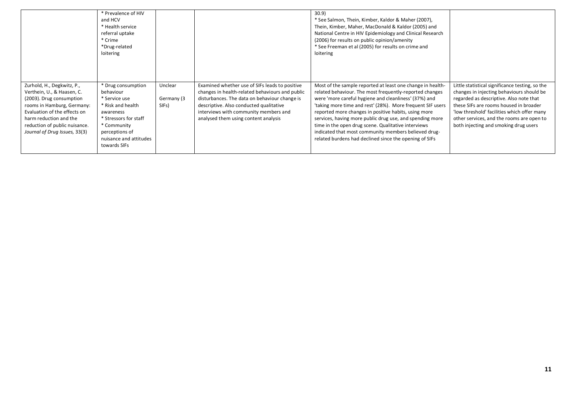|                                                                                                                                                                                                                                                | * Prevalence of HIV<br>and HCV<br>* Health service<br>referral uptake<br>* Crime<br>*Drug-related<br>loitering                                                                         |                                |                                                                                                                                                                                                                                                                                | 30.9)<br>* See Salmon, Thein, Kimber, Kaldor & Maher (2007),<br>Thein, Kimber, Maher, MacDonald & Kaldor (2005) and<br>National Centre in HIV Epidemiology and Clinical Research<br>(2006) for results on public opinion/amenity<br>* See Freeman et al (2005) for results on crime and<br>loitering                                                                                                                                                                                                                                      |                                                                                                                                                                                                                                                                                                                        |
|------------------------------------------------------------------------------------------------------------------------------------------------------------------------------------------------------------------------------------------------|----------------------------------------------------------------------------------------------------------------------------------------------------------------------------------------|--------------------------------|--------------------------------------------------------------------------------------------------------------------------------------------------------------------------------------------------------------------------------------------------------------------------------|-------------------------------------------------------------------------------------------------------------------------------------------------------------------------------------------------------------------------------------------------------------------------------------------------------------------------------------------------------------------------------------------------------------------------------------------------------------------------------------------------------------------------------------------|------------------------------------------------------------------------------------------------------------------------------------------------------------------------------------------------------------------------------------------------------------------------------------------------------------------------|
| Zurhold, H., Degkwitz, P.,<br>Verthein, U., & Haasen, C.<br>(2003). Drug consumption<br>rooms in Hamburg, Germany:<br>Evaluation of the effects on<br>harm reduction and the<br>reduction of public nuisance.<br>Journal of Drug Issues, 33(3) | * Drug consumption<br>behaviour<br>* Service use<br>* Risk and health<br>awareness<br>* Stressors for staff<br>* Community<br>perceptions of<br>nuisance and attitudes<br>towards SIFs | Unclear<br>Germany (3<br>SIFs) | Examined whether use of SIFs leads to positive<br>changes in health-related behaviours and public<br>disturbances. The data on behaviour change is<br>descriptive. Also conducted qualitative<br>interviews with community members and<br>analysed them using content analysis | Most of the sample reported at least one change in health-<br>related behaviour. The most frequently-reported changes<br>were 'more careful hygiene and cleanliness' (37%) and<br>'taking more time and rest' (28%). More frequent SIF users<br>reported more changes in positive habits, using more<br>services, having more public drug use, and spending more<br>time in the open drug scene. Qualitative interviews<br>indicated that most community members believed drug-<br>related burdens had declined since the opening of SIFs | Little statistical significance testing, so the<br>changes in injecting behaviours should be<br>regarded as descriptive. Also note that<br>these SIFs are rooms housed in broader<br>'low threshold' facilities which offer many<br>other services, and the rooms are open to<br>both injecting and smoking drug users |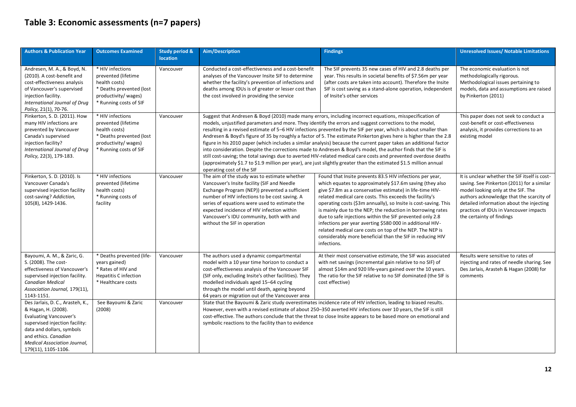### <span id="page-11-0"></span>**Table 3: Economic assessments (n=7 papers)**

| <b>Authors &amp; Publication Year</b>                                                                                                                                                                                                  | <b>Outcomes Examined</b>                                                                                                              | <b>Study period &amp;</b><br><b>location</b> | Aim/Description                                                                                                                                                                                                                                                                                                                                                           | <b>Findings</b>                                                                                                                                                                                                                                                                                                                                                                                                                                                                                                                                                                                                                                                                                                                                                                                                                                                                                                                              | <b>Unresolved Issues/ Notable Limitations</b>                                                                                                                                                                                                                                                    |
|----------------------------------------------------------------------------------------------------------------------------------------------------------------------------------------------------------------------------------------|---------------------------------------------------------------------------------------------------------------------------------------|----------------------------------------------|---------------------------------------------------------------------------------------------------------------------------------------------------------------------------------------------------------------------------------------------------------------------------------------------------------------------------------------------------------------------------|----------------------------------------------------------------------------------------------------------------------------------------------------------------------------------------------------------------------------------------------------------------------------------------------------------------------------------------------------------------------------------------------------------------------------------------------------------------------------------------------------------------------------------------------------------------------------------------------------------------------------------------------------------------------------------------------------------------------------------------------------------------------------------------------------------------------------------------------------------------------------------------------------------------------------------------------|--------------------------------------------------------------------------------------------------------------------------------------------------------------------------------------------------------------------------------------------------------------------------------------------------|
| Andresen, M. A., & Boyd, N.<br>(2010). A cost-benefit and<br>cost-effectiveness analysis<br>of Vancouver's supervised<br>injection facility.<br>International Journal of Drug<br>Policy, 21(1), 70-76.                                 | * HIV infections<br>prevented (lifetime<br>health costs)<br>* Deaths prevented (lost<br>productivity/wages)<br>* Running costs of SIF | Vancouver                                    | Conducted a cost-effectiveness and a cost-benefit<br>analyses of the Vancouver Insite SIF to determine<br>whether the facility's prevention of infections and<br>deaths among IDUs is of greater or lesser cost than<br>the cost involved in providing the service                                                                                                        | The SIF prevents 35 new cases of HIV and 2.8 deaths per<br>year. This results in societal benefits of \$7.56m per year<br>(after costs are taken into account). Therefore the Insite<br>SIF is cost saving as a stand-alone operation, independent<br>of Insite's other services                                                                                                                                                                                                                                                                                                                                                                                                                                                                                                                                                                                                                                                             | The economic evaluation is not<br>methodologically rigorous.<br>Methodological issues pertaining to<br>models, data and assumptions are raised<br>by Pinkerton (2011)                                                                                                                            |
| Pinkerton, S. D. (2011). How<br>many HIV infections are<br>prevented by Vancouver<br>Canada's supervised<br>injection facility?<br>International Journal of Drug<br>Policy, 22(3), 179-183.                                            | * HIV infections<br>prevented (lifetime<br>health costs)<br>* Deaths prevented (lost<br>productivity/wages)<br>* Running costs of SIF | Vancouver                                    | operating cost of the SIF                                                                                                                                                                                                                                                                                                                                                 | Suggest that Andresen & Boyd (2010) made many errors, including incorrect equations, misspecification of<br>models, unjustified parameters and more. They identify the errors and suggest corrections to the model,<br>resulting in a revised estimate of 5-6 HIV infections prevented by the SIF per year, which is about smaller than<br>Andresen & Boyd's figure of 35 by roughly a factor of 5. The estimate Pinkerton gives here is higher than the 2.8<br>figure in his 2010 paper (which includes a similar analysis) because the current paper takes an additional factor<br>into consideration. Despite the corrections made to Andresen & Boyd's model, the author finds that the SIF is<br>still cost-saving; the total savings due to averted HIV-related medical care costs and prevented overdose deaths<br>(approximately \$1.7 to \$1.9 million per year), are just slightly greater than the estimated \$1.5 million annual | This paper does not seek to conduct a<br>cost-benefit or cost-effectiveness<br>analysis, it provides corrections to an<br>existing model                                                                                                                                                         |
| Pinkerton, S. D. (2010). Is<br>Vancouver Canada's<br>supervised injection facility<br>cost-saving? Addiction,<br>105(8), 1429-1436.                                                                                                    | * HIV infections<br>prevented (lifetime<br>health costs)<br>* Running costs of<br>facility                                            | Vancouver                                    | The aim of the study was to estimate whether<br>Vancouver's Insite facility (SIF and Needle<br>Exchange Program (NEP)) prevented a sufficient<br>number of HIV infections to be cost saving. A<br>series of equations were used to estimate the<br>expected incidence of HIV infection within<br>Vancouver's IDU community, both with and<br>without the SIF in operation | Found that Insite prevents 83.5 HIV infections per year,<br>which equates to approximately \$17.6m saving (they also<br>give \$7.8m as a conservative estimate) in life-time HIV-<br>related medical care costs. This exceeds the facility's<br>operating costs (\$3m annually), so Insite is cost-saving. This<br>is mainly due to the NEP; the reduction in borrowing rates<br>due to safe injections within the SIF prevented only 2.8<br>infections per year averting \$580 000 in additional HIV-<br>related medical care costs on top of the NEP. The NEP is<br>considerably more beneficial than the SIF in reducing HIV<br>infections.                                                                                                                                                                                                                                                                                               | It is unclear whether the SIF itself is cost-<br>saving. See Pinkerton (2011) for a similar<br>model looking only at the SIF. The<br>authors acknowledge that the scarcity of<br>detailed information about the injecting<br>practices of IDUs in Vancouver impacts<br>the certainty of findings |
| Bayoumi, A. M., & Zaric, G.<br>S. (2008). The cost-<br>effectiveness of Vancouver's<br>supervised injection facility.<br><b>Canadian Medical</b><br>Association Journal, 179(11),<br>1143-1151.                                        | * Deaths prevented (life-<br>years gained)<br>* Rates of HIV and<br><b>Hepatitis C infection</b><br>* Healthcare costs                | Vancouver                                    | The authors used a dynamic compartmental<br>model with a 10 year time horizon to conduct a<br>cost-effectiveness analysis of the Vancouver SIF<br>(SIF only, excluding Insite's other facilities). They<br>modelled individuals aged 15-64 cycling<br>through the model until death, ageing beyond<br>64 years or migration out of the Vancouver area                     | At their most conservative estimate, the SIF was associated<br>with net savings (incremental gain relative to no SIF) of<br>almost \$14m and 920 life-years gained over the 10 years.<br>The ratio for the SIF relative to no SIF dominated (the SIF is<br>cost effective)                                                                                                                                                                                                                                                                                                                                                                                                                                                                                                                                                                                                                                                                   | Results were sensitive to rates of<br>injecting and rates of needle sharing. See<br>Des Jarlais, Arasteh & Hagan (2008) for<br>comments                                                                                                                                                          |
| Des Jarlais, D. C., Arasteh, K.,<br>& Hagan, H. (2008).<br><b>Evaluating Vancouver's</b><br>supervised injection facility:<br>data and dollars, symbols<br>and ethics. Canadian<br>Medical Association Journal,<br>179(11), 1105-1106. | See Bayoumi & Zaric<br>(2008)                                                                                                         | Vancouver                                    | symbolic reactions to the facility than to evidence                                                                                                                                                                                                                                                                                                                       | State that the Bayoumi & Zaric study overestimates incidence rate of HIV infection, leading to biased results.<br>However, even with a revised estimate of about 250-350 averted HIV infections over 10 years, the SIF is still<br>cost-effective. The authors conclude that the threat to close Insite appears to be based more on emotional and                                                                                                                                                                                                                                                                                                                                                                                                                                                                                                                                                                                            |                                                                                                                                                                                                                                                                                                  |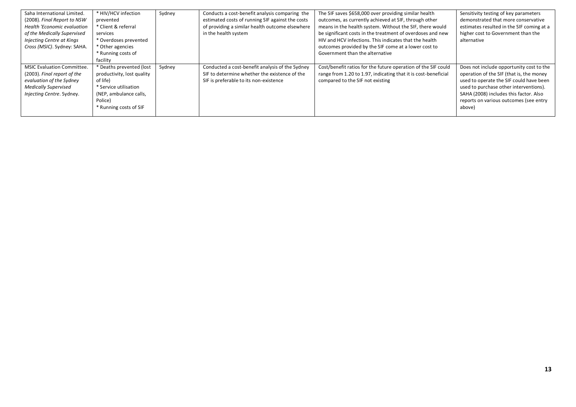| Saha International Limited.<br>(2008). Final Report to NSW<br><b>Health 'Economic evaluation</b><br>of the Medically Supervised<br>Injecting Centre at Kings<br>Cross (MSIC). Sydney: SAHA. | * HIV/HCV infection<br>prevented<br>* Client & referral<br>services<br>* Overdoses prevented<br>* Other agencies<br>* Running costs of                     | Sydney | Conducts a cost-benefit analysis comparing the<br>estimated costs of running SIF against the costs<br>of providing a similar health outcome elsewhere<br>in the health system | The SIF saves \$658,000 over providing similar health<br>outcomes, as currently achieved at SIF, through other<br>means in the health system. Without the SIF, there would<br>be significant costs in the treatment of overdoses and new<br>HIV and HCV infections. This indicates that the health<br>outcomes provided by the SIF come at a lower cost to<br>Government than the alternative | Sensitivity testing of key parameters<br>demonstrated that more conservative<br>estimates resulted in the SIF coming at a<br>higher cost to Government than the<br>alternative                                                                                          |
|---------------------------------------------------------------------------------------------------------------------------------------------------------------------------------------------|------------------------------------------------------------------------------------------------------------------------------------------------------------|--------|-------------------------------------------------------------------------------------------------------------------------------------------------------------------------------|-----------------------------------------------------------------------------------------------------------------------------------------------------------------------------------------------------------------------------------------------------------------------------------------------------------------------------------------------------------------------------------------------|-------------------------------------------------------------------------------------------------------------------------------------------------------------------------------------------------------------------------------------------------------------------------|
|                                                                                                                                                                                             | facility                                                                                                                                                   |        |                                                                                                                                                                               |                                                                                                                                                                                                                                                                                                                                                                                               |                                                                                                                                                                                                                                                                         |
| <b>MSIC Evaluation Committee.</b><br>(2003). Final report of the<br>evaluation of the Sydney<br><b>Medically Supervised</b><br>Injecting Centre. Sydney.                                    | * Deaths prevented (lost<br>productivity, lost quality<br>of life)<br>* Service utilisation<br>(NEP, ambulance calls,<br>Police)<br>* Running costs of SIF | Sydney | Conducted a cost-benefit analysis of the Sydney<br>SIF to determine whether the existence of the<br>SIF is preferable to its non-existence                                    | Cost/benefit ratios for the future operation of the SIF could<br>range from 1.20 to 1.97, indicating that it is cost-beneficial<br>compared to the SIF not existing                                                                                                                                                                                                                           | Does not include opportunity cost to the<br>operation of the SIF (that is, the money<br>used to operate the SIF could have been<br>used to purchase other interventions).<br>SAHA (2008) includes this factor. Also<br>reports on various outcomes (see entry<br>above) |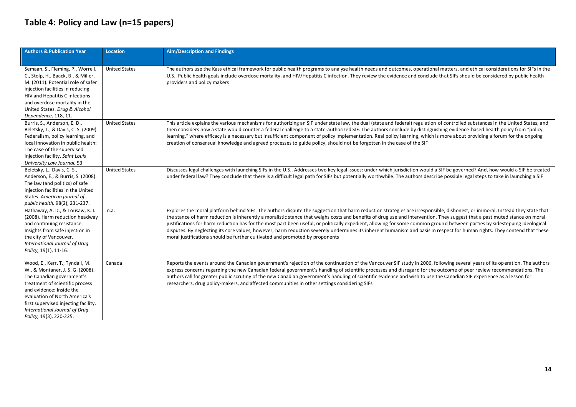### <span id="page-13-0"></span>**Table 4: Policy and Law (n=15 papers)**

| <b>Authors &amp; Publication Year</b>                                                                                                                                                                                                                                                                | <b>Location</b>      | <b>Aim/Description and Findings</b>                                                                                                                                                                                                                                                                                                                                                                                                                                                                                                                                                                                                                                                                                                                                                                   |
|------------------------------------------------------------------------------------------------------------------------------------------------------------------------------------------------------------------------------------------------------------------------------------------------------|----------------------|-------------------------------------------------------------------------------------------------------------------------------------------------------------------------------------------------------------------------------------------------------------------------------------------------------------------------------------------------------------------------------------------------------------------------------------------------------------------------------------------------------------------------------------------------------------------------------------------------------------------------------------------------------------------------------------------------------------------------------------------------------------------------------------------------------|
| Semaan, S., Fleming, P., Worrell,<br>C., Stolp, H., Baack, B., & Miller,<br>M. (2011). Potential role of safer<br>injection facilities in reducing<br>HIV and Hepatitis C infections<br>and overdose mortality in the<br>United States. Drug & Alcohol<br>Dependence, 118, 11.                       | <b>United States</b> | The authors use the Kass ethical framework for public health programs to analyse health needs and outcomes, operational matters, and ethical considerations for SIFs in the<br>U.S Public health goals include overdose mortality, and HIV/Hepatitis C infection. They review the evidence and conclude that SIFs should be considered by public health<br>providers and policy makers                                                                                                                                                                                                                                                                                                                                                                                                                |
| Burris, S., Anderson, E. D.,<br>Beletsky, L., & Davis, C. S. (2009).<br>Federalism, policy learning, and<br>local innovation in public health:<br>The case of the supervised<br>injection facility. Saint Louis<br>University Law Journal, 53                                                        | <b>United States</b> | This article explains the various mechanisms for authorizing an SIF under state law, the dual (state and federal) regulation of controlled substances in the United States, and<br>then considers how a state would counter a federal challenge to a state-authorized SIF. The authors conclude by distinguishing evidence-based health policy from "policy<br>learning," where efficacy is a necessary but insufficient component of policy implementation. Real policy learning, which is more about providing a forum for the ongoing<br>creation of consensual knowledge and agreed processes to guide policy, should not be forgotten in the case of the SIF                                                                                                                                     |
| Beletsky, L., Davis, C. S.,<br>Anderson, E., & Burris, S. (2008).<br>The law (and politics) of safe<br>injection facilities in the United<br>States. American journal of<br>public health, 98(2), 231-237.                                                                                           | <b>United States</b> | Discusses legal challenges with launching SIFs in the U.S Addresses two key legal issues: under which jurisdiction would a SIF be governed? And, how would a SIF be treated<br>under federal law? They conclude that there is a difficult legal path for SIFs but potentially worthwhile. The authors describe possible legal steps to take in launching a SIF                                                                                                                                                                                                                                                                                                                                                                                                                                        |
| Hathaway, A. D., & Tousaw, K. I.<br>(2008). Harm reduction headway<br>and continuing resistance:<br>Insights from safe injection in<br>the city of Vancouver.<br>International Journal of Drug<br>Policy, 19(1), 11-16.                                                                              | n.a.                 | Explores the moral platform behind SIFs. The authors dispute the suggestion that harm reduction strategies are irresponsible, dishonest, or immoral. Instead they state that<br>the stance of harm reduction is inherently a moralistic stance that weighs costs and benefits of drug use and intervention. They suggest that a past muted stance on moral<br>justifications for harm reduction has for the most part been useful, or politically expedient, allowing for some common ground between parties by sidestepping ideological<br>disputes. By neglecting its core values, however, harm reduction severely undermines its inherent humanism and basis in respect for human rights. They contend that these<br>moral justifications should be further cultivated and promoted by proponents |
| Wood, E., Kerr, T., Tyndall, M.<br>W., & Montaner, J. S. G. (2008).<br>The Canadian government's<br>treatment of scientific process<br>and evidence: Inside the<br>evaluation of North America's<br>first supervised injecting facility.<br>International Journal of Drug<br>Policy, 19(3), 220-225. | Canada               | Reports the events around the Canadian government's rejection of the continuation of the Vancouver SIF study in 2006, following several years of its operation. The authors<br>express concerns regarding the new Canadian federal government's handling of scientific processes and disregard for the outcome of peer review recommendations. The<br>authors call for greater public scrutiny of the new Canadian government's handling of scientific evidence and wish to use the Canadian SIF experience as a lesson for<br>researchers, drug policy-makers, and affected communities in other settings considering SIFs                                                                                                                                                                           |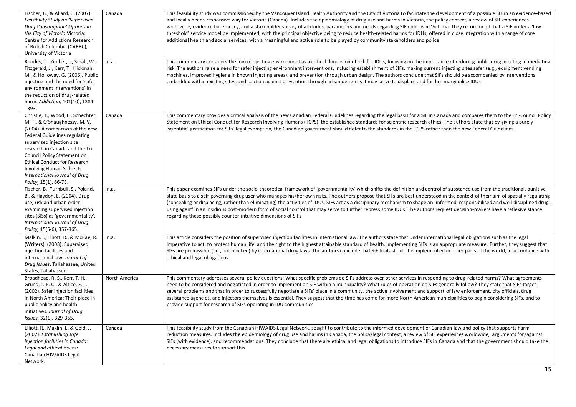| Fischer, B., & Allard, C. (2007).<br>Feasibility Study on 'Supervised<br>Drug Consumption' Options in<br>the City of Victoria Victoria:<br>Centre for Addictions Research<br>of British Columbia (CARBC),<br>University of Victoria                                                                                                                                         | Canada        | This feasibility study was commissioned by the Vancouver Island Health Authority and the City of Victoria to facilitate the development of a possible SIF in an evidence-based<br>and locally needs-responsive way for Victoria (Canada). Includes the epidemiology of drug use and harms in Victoria, the policy context, a review of SIF experiences<br>worldwide, evidence for efficacy, and a stakeholder survey of attitudes, parameters and needs regarding SIF options in Victoria. They recommend that a SIF under a 'low<br>threshold' service model be implemented, with the principal objective being to reduce health-related harms for IDUs; offered in close integration with a range of core<br>additional health and social services; with a meaningful and active role to be played by community stakeholders and police |
|-----------------------------------------------------------------------------------------------------------------------------------------------------------------------------------------------------------------------------------------------------------------------------------------------------------------------------------------------------------------------------|---------------|-------------------------------------------------------------------------------------------------------------------------------------------------------------------------------------------------------------------------------------------------------------------------------------------------------------------------------------------------------------------------------------------------------------------------------------------------------------------------------------------------------------------------------------------------------------------------------------------------------------------------------------------------------------------------------------------------------------------------------------------------------------------------------------------------------------------------------------------|
| Rhodes, T., Kimber, J., Small, W.,<br>Fitzgerald, J., Kerr, T., Hickman,<br>M., & Holloway, G. (2006). Public<br>injecting and the need for 'safer<br>environment interventions' in<br>the reduction of drug-related<br>harm. Addiction, 101(10), 1384-<br>1393.                                                                                                            | n.a.          | This commentary considers the micro injecting environment as a critical dimension of risk for IDUs, focusing on the importance of reducing public drug injecting in mediating<br>risk. The authors raise a need for safer injecting environment interventions, including establishment of SIFs, making current injecting sites safer (e.g., equipment vending<br>machines, improved hygiene in known injecting areas), and prevention through urban design. The authors conclude that SIFs should be accompanied by interventions<br>embedded within existing sites, and caution against prevention through urban design as it may serve to displace and further marginalise IDUs                                                                                                                                                         |
| Christie, T., Wood, E., Schechter,<br>M. T., & O'Shaughnessy, M. V.<br>(2004). A comparison of the new<br><b>Federal Guidelines regulating</b><br>supervised injection site<br>research in Canada and the Tri-<br>Council Policy Statement on<br><b>Ethical Conduct for Research</b><br>Involving Human Subjects.<br>International Journal of Drug<br>Policy, 15(1), 66-73. | Canada        | This commentary provides a critical analysis of the new Canadian Federal Guidelines regarding the legal basis for a SIF in Canada and compares them to the Tri-Council Policy<br>Statement on Ethical Conduct for Research Involving Humans (TCPS), the established standards for scientific research ethics. The authors state that by giving a purely<br>'scientific' justification for SIFs' legal exemption, the Canadian government should defer to the standards in the TCPS rather than the new Federal Guidelines                                                                                                                                                                                                                                                                                                                 |
| Fischer, B., Turnbull, S., Poland,<br>B., & Haydon, E. (2004). Drug<br>use, risk and urban order:<br>examining supervised injection<br>sites (SISs) as 'governmentality'.<br>International Journal of Drug<br>Policy, 15(5-6), 357-365.                                                                                                                                     | n.a.          | This paper examines SIFs under the socio-theoretical framework of 'governmentality' which shifts the definition and control of substance use from the traditional, punitive<br>state basis to a self-governing drug user who manages his/her own risks. The authors propose that SIFs are best understood in the context of their aim of spatially regulating<br>(concealing or displacing, rather than eliminating) the activities of IDUs. SIFs act as a disciplinary mechanism to shape an 'informed, responsibilised and well disciplined drug-<br>using agent' in an insidious post-modern form of social control that may serve to further repress some IDUs. The authors request decision-makers have a reflexive stance<br>regarding these possibly counter-intuitive dimensions of SIFs                                          |
| Malkin, I., Elliott, R., & McRae, R.<br>(Writers). (2003). Supervised<br>injection facilities and<br>international law, Journal of<br>Drug Issues. Tallahassee, United<br>States, Tallahassee.                                                                                                                                                                              | n.a.          | This article considers the position of supervised injection facilities in international law. The authors state that under international legal obligations such as the legal<br>imperative to act, to protect human life, and the right to the highest attainable standard of health, implementing SIFs is an appropriate measure. Further, they suggest that<br>SIFs are permissible (i.e., not blocked) by international drug laws. The authors conclude that SIF trials should be implemented in other parts of the world, in accordance with<br>ethical and legal obligations                                                                                                                                                                                                                                                          |
| Broadhead, R. S., Kerr, T. H.,<br>Grund, J.-P. C., & Altice, F. L.<br>(2002). Safer injection facilities<br>in North America: Their place in<br>public policy and health<br>initiatives. Journal of Drug<br>Issues, 32(1), 329-355.                                                                                                                                         | North America | This commentary addresses several policy questions: What specific problems do SIFs address over other services in responding to drug-related harms? What agreements<br>need to be considered and negotiated in order to implement an SIF within a municipality? What rules of operation do SIFs generally follow? They state that SIFs target<br>several problems and that in order to successfully negotiate a SIFs' place in a community, the active involvement and support of law enforcement, city officials, drug<br>assistance agencies, and injectors themselves is essential. They suggest that the time has come for more North American municipalities to begin considering SIFs, and to<br>provide support for research of SIFs operating in IDU communities                                                                  |
| Elliott, R., Maklin, I., & Gold, J.<br>(2002). Establishing safe<br>injection facilities in Canada:<br>Legal and ethical issues:<br>Canadian HIV/AIDS Legal<br>Network.                                                                                                                                                                                                     | Canada        | This feasibility study from the Canadian HIV/AIDS Legal Network, sought to contribute to the informed development of Canadian law and policy that supports harm-<br>reduction measures. Includes the epidemiology of drug use and harms in Canada, the policy/legal context, a review of SIF experiences worldwide, arguments for/against<br>SIFs (with evidence), and recommendations. They conclude that there are ethical and legal obligations to introduce SIFs in Canada and that the government should take the<br>necessary measures to support this                                                                                                                                                                                                                                                                              |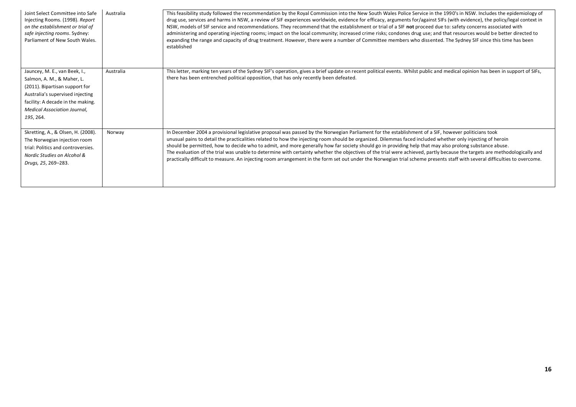| Joint Select Committee into Safe<br>Injecting Rooms. (1998). Report<br>on the establishment or trial of<br>safe injecting rooms. Sydney:<br>Parliament of New South Wales.                                                 | Australia | This feasibility study followed the recommendation by the Royal Commission into the New South Wales Police Service in the 1990's in NSW. Includes the epidemiology of<br>drug use, services and harms in NSW, a review of SIF experiences worldwide, evidence for efficacy, arguments for/against SIFs (with evidence), the policy/legal context in<br>NSW, models of SIF service and recommendations. They recommend that the establishment or trial of a SIF not proceed due to: safety concerns associated with<br>administering and operating injecting rooms; impact on the local community; increased crime risks; condones drug use; and that resources would be better directed to<br>expanding the range and capacity of drug treatment. However, there were a number of Committee members who dissented. The Sydney SIF since this time has been<br>established |
|----------------------------------------------------------------------------------------------------------------------------------------------------------------------------------------------------------------------------|-----------|---------------------------------------------------------------------------------------------------------------------------------------------------------------------------------------------------------------------------------------------------------------------------------------------------------------------------------------------------------------------------------------------------------------------------------------------------------------------------------------------------------------------------------------------------------------------------------------------------------------------------------------------------------------------------------------------------------------------------------------------------------------------------------------------------------------------------------------------------------------------------|
| Jauncey, M. E., van Beek, I.,<br>Salmon, A. M., & Maher, L.<br>(2011). Bipartisan support for<br>Australia's supervised injecting<br>facility: A decade in the making.<br><b>Medical Association Journal,</b><br>195, 264. | Australia | This letter, marking ten years of the Sydney SIF's operation, gives a brief update on recent political events. Whilst public and medical opinion has been in support of SIFs,<br>there has been entrenched political opposition, that has only recently been defeated.                                                                                                                                                                                                                                                                                                                                                                                                                                                                                                                                                                                                    |
| Skretting, A., & Olsen, H. (2008).<br>The Norwegian injection room<br>trial: Politics and controversies.<br>Nordic Studies on Alcohol &<br>Drugs, 25, 269-283.                                                             | Norway    | In December 2004 a provisional legislative proposal was passed by the Norwegian Parliament for the establishment of a SIF, however politicians took<br>unusual pains to detail the practicalities related to how the injecting room should be organized. Dilemmas faced included whether only injecting of heroin<br>should be permitted, how to decide who to admit, and more generally how far society should go in providing help that may also prolong substance abuse.<br>The evaluation of the trial was unable to determine with certainty whether the objectives of the trial were achieved, partly because the targets are methodologically and<br>practically difficult to measure. An injecting room arrangement in the form set out under the Norwegian trial scheme presents staff with several difficulties to overcome.                                    |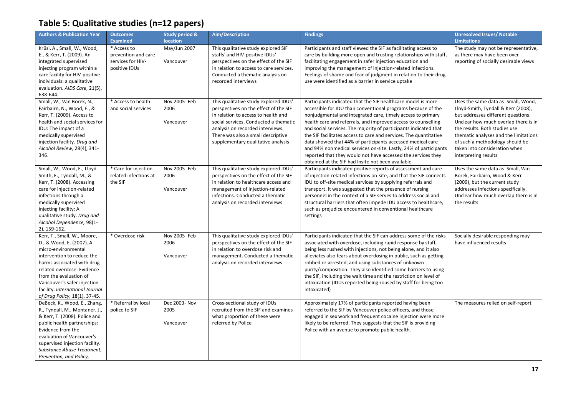### <span id="page-16-0"></span>**Table 5: Qualitative studies (n=12 papers)**

| <b>Authors &amp; Publication Year</b>                                                                                                                                                                                                                                                                  | <b>Outcomes</b><br><b>Examined</b>                                       | Study period &<br><b>location</b>  | Aim/Description                                                                                                                                                                                                                                                                | <b>Findings</b>                                                                                                                                                                                                                                                                                                                                                                                                                                                                                                                                                                                                                                              | <b>Unresolved Issues/ Notable</b><br><b>Limitations</b>                                                                                                                                                                                                                                                                       |
|--------------------------------------------------------------------------------------------------------------------------------------------------------------------------------------------------------------------------------------------------------------------------------------------------------|--------------------------------------------------------------------------|------------------------------------|--------------------------------------------------------------------------------------------------------------------------------------------------------------------------------------------------------------------------------------------------------------------------------|--------------------------------------------------------------------------------------------------------------------------------------------------------------------------------------------------------------------------------------------------------------------------------------------------------------------------------------------------------------------------------------------------------------------------------------------------------------------------------------------------------------------------------------------------------------------------------------------------------------------------------------------------------------|-------------------------------------------------------------------------------------------------------------------------------------------------------------------------------------------------------------------------------------------------------------------------------------------------------------------------------|
| Krüsi, A., Small, W., Wood,<br>E., & Kerr, T. (2009). An<br>integrated supervised<br>injecting program within a<br>care facility for HIV-positive<br>individuals: a qualitative<br>evaluation. AIDS Care, 21(5),<br>638-644.                                                                           | * Access to<br>prevention and care<br>services for HIV-<br>positive IDUs | May/Jun 2007<br>Vancouver          | This qualitative study explored SIF<br>staffs' and HIV-positive IDUs'<br>perspectives on the effect of the SIF<br>in relation to access to care services.<br>Conducted a thematic analysis on<br>recorded interviews                                                           | Participants and staff viewed the SIF as facilitating access to<br>care by building more open and trusting relationships with staff,<br>facilitating engagement in safer injection education and<br>improving the management of injection-related infections.<br>Feelings of shame and fear of judgment in relation to their drug<br>use were identified as a barrier in service uptake                                                                                                                                                                                                                                                                      | The study may not be representative,<br>as there may have been over<br>reporting of socially desirable views                                                                                                                                                                                                                  |
| Small, W., Van Borek, N.,<br>Fairbairn, N., Wood, E., &<br>Kerr, T. (2009). Access to<br>health and social services for<br>IDU: The impact of a<br>medically supervised<br>injection facility. Drug and<br>Alcohol Review, 28(4), 341-<br>346.                                                         | * Access to health<br>and social services                                | Nov 2005- Feb<br>2006<br>Vancouver | This qualitative study explored IDUs'<br>perspectives on the effect of the SIF<br>in relation to access to health and<br>social services. Conducted a thematic<br>analysis on recorded interviews.<br>There was also a small descriptive<br>supplementary qualitative analysis | Participants indicated that the SIF healthcare model is more<br>accessible for IDU than conventional programs because of the<br>nonjudgmental and integrated care, timely access to primary<br>health care and referrals, and improved access to counselling<br>and social services. The majority of participants indicated that<br>the SIF facilitates access to care and services. The quantitative<br>data showed that 44% of participants accessed medical care<br>and 94% nonmedical services on-site. Lastly, 24% of participants<br>reported that they would not have accessed the services they<br>obtained at the SIF had Insite not been available | Uses the same data as Small, Wood,<br>Lloyd-Smith, Tyndall & Kerr (2008),<br>but addresses different questions.<br>Unclear how much overlap there is in<br>the results. Both studies use<br>thematic analyses and the limitations<br>of such a methodology should be<br>taken into consideration when<br>interpreting results |
| Small, W., Wood, E., Lloyd-<br>Smith, E., Tyndall, M., &<br>Kerr, T. (2008). Accessing<br>care for injection-related<br>infections through a<br>medically supervised<br>injecting facility: A<br>qualitative study. Drug and<br>Alcohol Dependence, 98(1-<br>2), 159-162.                              | * Care for injection-<br>related infections at<br>the SIF                | Nov 2005- Feb<br>2006<br>Vancouver | This qualitative study explored IDUs'<br>perspectives on the effect of the SIF<br>in relation to healthcare access and<br>management of injection-related<br>infections. Conducted a thematic<br>analysis on recorded interviews                                               | Participants indicated positive reports of assessment and care<br>of injection-related infections on-site, and that the SIF connects<br>IDU to off-site medical services by supplying referrals and<br>transport. It was suggested that the presence of nursing<br>personnel in the context of a SIF serves to address social and<br>structural barriers that often impede IDU access to healthcare,<br>such as prejudice encountered in conventional healthcare<br>settings                                                                                                                                                                                 | Uses the same data as Small, Van<br>Borek, Fairbairn, Wood & Kerr<br>(2009), but the current study<br>addresses infections specifically.<br>Unclear how much overlap there is in<br>the results                                                                                                                               |
| Kerr, T., Small, W., Moore,<br>D., & Wood, E. (2007). A<br>micro-environmental<br>intervention to reduce the<br>harms associated with drug-<br>related overdose: Evidence<br>from the evaluation of<br>Vancouver's safer injection<br>facility. International Journal<br>of Drug Policy, 18(1), 37-45. | * Overdose risk                                                          | Nov 2005-Feb<br>2006<br>Vancouver  | This qualitative study explored IDUs'<br>perspectives on the effect of the SIF<br>in relation to overdose risk and<br>management. Conducted a thematic<br>analysis on recorded interviews                                                                                      | Participants indicated that the SIF can address some of the risks<br>associated with overdose, including rapid response by staff,<br>being less rushed with injections, not being alone, and it also<br>alleviates also fears about overdosing in public, such as getting<br>robbed or arrested, and using substances of unknown<br>purity/composition. They also identified some barriers to using<br>the SIF, including the wait time and the restriction on level of<br>intoxication (IDUs reported being roused by staff for being too<br>intoxicated)                                                                                                   | Socially desirable responding may<br>have influenced results                                                                                                                                                                                                                                                                  |
| DeBeck, K., Wood, E., Zhang,<br>R., Tyndall, M., Montaner, J.,<br>& Kerr, T. (2008). Police and<br>public health partnerships:<br>Evidence from the<br>evaluation of Vancouver's<br>supervised injection facility.<br>Substance Abuse Treatment,<br>Prevention, and Policy,                            | * Referral by local<br>police to SIF                                     | Dec 2003- Nov<br>2005<br>Vancouver | Cross-sectional study of IDUs<br>recruited from the SIF and examines<br>what proportion of these were<br>referred by Police                                                                                                                                                    | Approximately 17% of participants reported having been<br>referred to the SIF by Vancouver police officers, and those<br>engaged in sex work and frequent cocaine injection were more<br>likely to be referred. They suggests that the SIF is providing<br>Police with an avenue to promote public health.                                                                                                                                                                                                                                                                                                                                                   | The measures relied on self-report                                                                                                                                                                                                                                                                                            |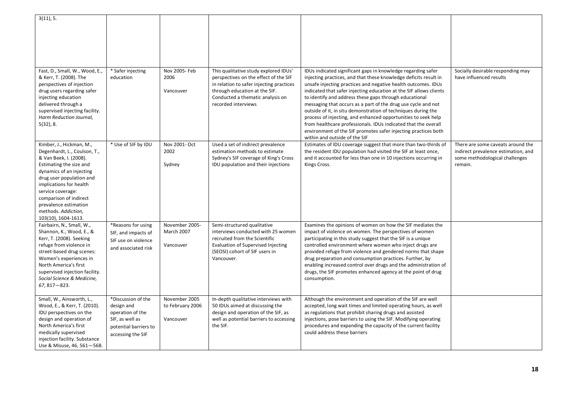| 3(11), 5.                                                    |                       |                   |                                          |                                                                              |                                     |
|--------------------------------------------------------------|-----------------------|-------------------|------------------------------------------|------------------------------------------------------------------------------|-------------------------------------|
|                                                              |                       |                   |                                          |                                                                              |                                     |
|                                                              |                       |                   |                                          |                                                                              |                                     |
|                                                              |                       |                   |                                          |                                                                              |                                     |
|                                                              |                       |                   |                                          |                                                                              |                                     |
|                                                              |                       |                   |                                          |                                                                              |                                     |
|                                                              |                       |                   |                                          |                                                                              |                                     |
| Fast, D., Small, W., Wood, E.,                               | * Safer injecting     | Nov 2005- Feb     | This qualitative study explored IDUs'    | IDUs indicated significant gaps in knowledge regarding safer                 | Socially desirable responding may   |
| & Kerr, T. (2008). The                                       | education             | 2006              | perspectives on the effect of the SIF    | injecting practices, and that these knowledge deficits result in             | have influenced results             |
| perspectives of injection                                    |                       |                   | in relation to safer injecting practices | unsafe injecting practices and negative health outcomes. IDUs                |                                     |
| drug users regarding safer                                   |                       | Vancouver         | through education at the SIF.            | indicated that safer injecting education at the SIF allows clients           |                                     |
| injecting education                                          |                       |                   | Conducted a thematic analysis on         | to identify and address these gaps through educational                       |                                     |
| delivered through a                                          |                       |                   | recorded interviews                      | messaging that occurs as a part of the drug use cycle and not                |                                     |
| supervised injecting facility.                               |                       |                   |                                          | outside of it, in situ demonstration of techniques during the                |                                     |
| Harm Reduction Journal,                                      |                       |                   |                                          | process of injecting, and enhanced opportunities to seek help                |                                     |
| 5(32), 8.                                                    |                       |                   |                                          | from healthcare professionals. IDUs indicated that the overall               |                                     |
|                                                              |                       |                   |                                          | environment of the SIF promotes safer injecting practices both               |                                     |
|                                                              |                       |                   |                                          | within and outside of the SIF                                                |                                     |
| Kimber, J., Hickman, M.,                                     | * Use of SIF by IDU   | Nov 2001- Oct     | Used a set of indirect prevalence        | Estimates of IDU coverage suggest that more than two-thirds of               | There are some caveats around the   |
| Degenhardt, L., Coulson, T.,                                 |                       | 2002              | estimation methods to estimate           | the resident IDU population had visited the SIF at least once,               | indirect prevalence estimation, and |
| & Van Beek, I. (2008).                                       |                       |                   | Sydney's SIF coverage of King's Cross    | and it accounted for less than one in 10 injections occurring in             | some methodological challenges      |
| Estimating the size and                                      |                       | Sydney            | IDU population and their injections      | Kings Cross.                                                                 | remain.                             |
| dynamics of an injecting                                     |                       |                   |                                          |                                                                              |                                     |
| drug user population and<br>implications for health          |                       |                   |                                          |                                                                              |                                     |
| service coverage:                                            |                       |                   |                                          |                                                                              |                                     |
| comparison of indirect                                       |                       |                   |                                          |                                                                              |                                     |
| prevalence estimation                                        |                       |                   |                                          |                                                                              |                                     |
| methods. Addiction,                                          |                       |                   |                                          |                                                                              |                                     |
| 103(10), 1604-1613.                                          |                       |                   |                                          |                                                                              |                                     |
| Fairbairn, N., Small, W.,                                    | *Reasons for using    | November 2005-    | Semi-structured qualitative              | Examines the opinions of women on how the SIF mediates the                   |                                     |
| Shannon, K., Wood, E., &                                     | SIF, and impacts of   | <b>March 2007</b> | interviews conducted with 25 women       | impact of violence on women. The perspectives of women                       |                                     |
| Kerr, T. (2008). Seeking                                     | SIF use on violence   |                   | recruited from the Scientific            | participating in this study suggest that the SIF is a unique                 |                                     |
| refuge from violence in                                      | and associated risk   | Vancouver         | Evaluation of Supervised Injecting       | controlled environment where women who inject drugs are                      |                                     |
| street-based drug scenes:                                    |                       |                   | (SEOSI) cohort of SIF users in           | provided refuge from violence and gendered norms that shape                  |                                     |
| Women's experiences in                                       |                       |                   | Vancouver.                               | drug preparation and consumption practices. Further, by                      |                                     |
| North America's first                                        |                       |                   |                                          | enabling increased control over drugs and the administration of              |                                     |
| supervised injection facility.<br>Social Science & Medicine, |                       |                   |                                          | drugs, the SIF promotes enhanced agency at the point of drug<br>consumption. |                                     |
| $67,817 - 823.$                                              |                       |                   |                                          |                                                                              |                                     |
|                                                              |                       |                   |                                          |                                                                              |                                     |
| Small, W., Ainsworth, L.,                                    | *Discussion of the    | November 2005     | In-depth qualitative interviews with     | Although the environment and operation of the SIF are well                   |                                     |
| Wood, E., & Kerr, T. (2010).                                 | design and            | to February 2006  | 50 IDUs aimed at discussing the          | accepted, long wait times and limited operating hours, as well               |                                     |
| IDU perspectives on the                                      | operation of the      |                   | design and operation of the SIF, as      | as regulations that prohibit sharing drugs and assisted                      |                                     |
| design and operation of                                      | SIF, as well as       | Vancouver         | well as potential barriers to accessing  | injections, pose barriers to using the SIF. Modifying operating              |                                     |
| North America's first                                        | potential barriers to |                   | the SIF.                                 | procedures and expanding the capacity of the current facility                |                                     |
| medically supervised                                         | accessing the SIF     |                   |                                          | could address these barriers                                                 |                                     |
| injection facility. Substance                                |                       |                   |                                          |                                                                              |                                     |
| Use & Misuse, 46, 561-568.                                   |                       |                   |                                          |                                                                              |                                     |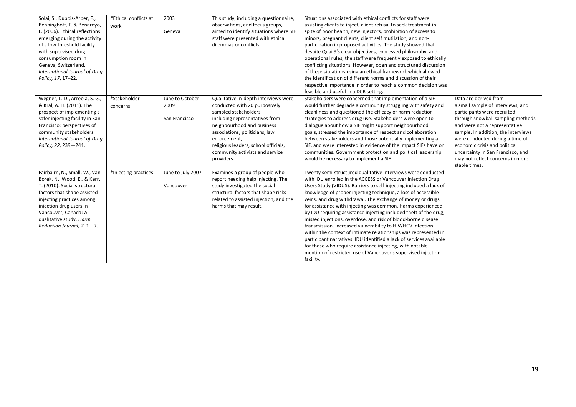| Solai, S., Dubois-Arber, F.,    | *Ethical conflicts at | 2003              | This study, including a questionnaire, | Situations associated with ethical conflicts for staff were         |                                     |
|---------------------------------|-----------------------|-------------------|----------------------------------------|---------------------------------------------------------------------|-------------------------------------|
| Benninghoff, F. & Benaroyo,     | work                  |                   | observations, and focus groups,        | assisting clients to inject, client refusal to seek treatment in    |                                     |
| L. (2006). Ethical reflections  |                       | Geneva            | aimed to identify situations where SIF | spite of poor health, new injectors, prohibition of access to       |                                     |
| emerging during the activity    |                       |                   | staff were presented with ethical      | minors, pregnant clients, client self mutilation, and non-          |                                     |
| of a low threshold facility     |                       |                   | dilemmas or conflicts.                 | participation in proposed activities. The study showed that         |                                     |
| with supervised drug            |                       |                   |                                        | despite Quai 9's clear objectives, expressed philosophy, and        |                                     |
| consumption room in             |                       |                   |                                        | operational rules, the staff were frequently exposed to ethically   |                                     |
| Geneva, Switzerland.            |                       |                   |                                        | conflicting situations. However, open and structured discussion     |                                     |
| International Journal of Drug   |                       |                   |                                        | of these situations using an ethical framework which allowed        |                                     |
| Policy, 17, 17-22.              |                       |                   |                                        | the identification of different norms and discussion of their       |                                     |
|                                 |                       |                   |                                        |                                                                     |                                     |
|                                 |                       |                   |                                        | respective importance in order to reach a common decision was       |                                     |
|                                 |                       |                   |                                        | feasible and useful in a DCR setting.                               |                                     |
| Wegner, L. D., Arreola, S. G.,  | *Stakeholder          | June to October   | Qualitative in-depth interviews were   | Stakeholders were concerned that implementation of a SIF            | Data are derived from               |
| & Kral, A. H. (2011). The       | concerns              | 2009              | conducted with 20 purposively          | would further degrade a community struggling with safety and        | a small sample of interviews, and   |
| prospect of implementing a      |                       |                   | sampled stakeholders                   | cleanliness and questioned the efficacy of harm reduction           | participants were recruited         |
| safer injecting facility in San |                       | San Francisco     | including representatives from         | strategies to address drug use. Stakeholders were open to           | through snowball sampling methods   |
| Francisco: perspectives of      |                       |                   | neighbourhood and business             | dialogue about how a SIF might support neighbourhood                | and were not a representative       |
| community stakeholders.         |                       |                   | associations, politicians, law         | goals, stressed the importance of respect and collaboration         | sample. In addition, the interviews |
| International Journal of Drug   |                       |                   | enforcement,                           | between stakeholders and those potentially implementing a           | were conducted during a time of     |
| Policy, 22, 239-241.            |                       |                   | religious leaders, school officials,   | SIF, and were interested in evidence of the impact SIFs have on     | economic crisis and political       |
|                                 |                       |                   | community activists and service        | communities. Government protection and political leadership         | uncertainty in San Francisco, and   |
|                                 |                       |                   | providers.                             | would be necessary to implement a SIF.                              | may not reflect concerns in more    |
|                                 |                       |                   |                                        |                                                                     | stable times.                       |
| Fairbairn, N., Small, W., Van   | *Injecting practices  | June to July 2007 | Examines a group of people who         | Twenty semi-structured qualitative interviews were conducted        |                                     |
| Borek, N., Wood, E., & Kerr,    |                       |                   | report needing help injecting. The     | with IDU enrolled in the ACCESS or Vancouver Injection Drug         |                                     |
| T. (2010). Social structural    |                       | Vancouver         | study investigated the social          | Users Study (VIDUS). Barriers to self-injecting included a lack of  |                                     |
| factors that shape assisted     |                       |                   | structural factors that shape risks    | knowledge of proper injecting technique, a loss of accessible       |                                     |
| injecting practices among       |                       |                   | related to assisted injection, and the | veins, and drug withdrawal. The exchange of money or drugs          |                                     |
| injection drug users in         |                       |                   | harms that may result.                 | for assistance with injecting was common. Harms experienced         |                                     |
| Vancouver, Canada: A            |                       |                   |                                        | by IDU requiring assistance injecting included theft of the drug,   |                                     |
| qualitative study. Harm         |                       |                   |                                        | missed injections, overdose, and risk of blood-borne disease        |                                     |
| Reduction Journal, 7, 1-7.      |                       |                   |                                        | transmission. Increased vulnerability to HIV/HCV infection          |                                     |
|                                 |                       |                   |                                        | within the context of intimate relationships was represented in     |                                     |
|                                 |                       |                   |                                        | participant narratives. IDU identified a lack of services available |                                     |
|                                 |                       |                   |                                        | for those who require assistance injecting, with notable            |                                     |
|                                 |                       |                   |                                        | mention of restricted use of Vancouver's supervised injection       |                                     |
|                                 |                       |                   |                                        |                                                                     |                                     |
|                                 |                       |                   |                                        | facility.                                                           |                                     |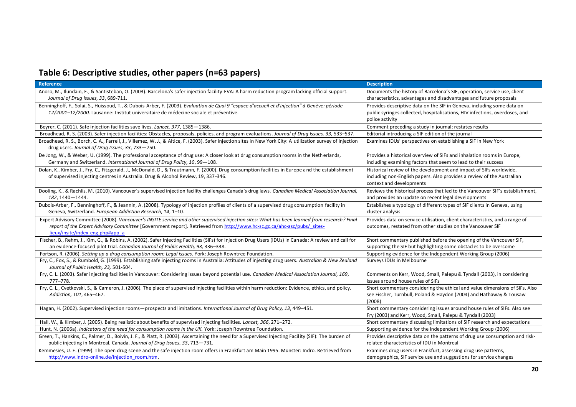# <span id="page-19-0"></span>**Table 6: Descriptive studies, other papers (n=63 papers)**

| <b>Reference</b>                                                                                                                                                | <b>Description</b>                                                                                               |
|-----------------------------------------------------------------------------------------------------------------------------------------------------------------|------------------------------------------------------------------------------------------------------------------|
| Anoro, M., Ilundain, E., & Santisteban, O. (2003). Barcelona's safer injection facility-EVA: A harm reduction program lacking official support.                 | Documents the history of Barcelona's SIF, operation, service use, client                                         |
| Journal of Drug Issues, 33, 689-711.                                                                                                                            | characteristics, advantages and disadvantages and future proposals                                               |
| Benninghoff, F., Solai, S., Huissoud, T., & Dubois-Arber, F. (2003). Evaluation de Quai 9 "espace d'accueil et d'injection" à Genève: période                   | Provides descriptive data on the SIF in Geneva, including some data on                                           |
| 12/2001-12/2000. Lausanne: Institut universitaire de médecine sociale et préventive.                                                                            | public syringes collected, hospitalisations, HIV infections, overdoses, and                                      |
|                                                                                                                                                                 | police activity                                                                                                  |
| Beyrer, C. (2011). Safe injection facilities save lives. Lancet, 377, 1385-1386.                                                                                | Comment preceding a study in journal; restates results                                                           |
| Broadhead, R. S. (2003). Safer injection facilities: Obstacles, proposals, policies, and program evaluations. Journal of Drug Issues, 33, 533-537.              | Editorial introducing a SIF edition of the journal                                                               |
| Broadhead, R. S., Borch, C. A., Farrell, J., Villemez, W. J., & Altice, F. (2003). Safer injection sites in New York City: A utilization survey of injection    | Examines IDUs' perspectives on establishing a SIF in New York                                                    |
| drug users. Journal of Drug Issues, 33, 733-750.                                                                                                                |                                                                                                                  |
| De Jong, W., & Weber, U. (1999). The professional acceptance of drug use: A closer look at drug consumption rooms in the Netherlands,                           | Provides a historical overview of SIFs and inhalation rooms in Europe,                                           |
| Germany and Switzerland. International Journal of Drug Policy, 10, 99-108.                                                                                      | including examining factors that seem to lead to their success                                                   |
| Dolan, K., Kimber, J., Fry, C., Fitzgerald, J., McDonald, D., & Trautmann, F. (2000). Drug consumption facilities in Europe and the establishment               | Historical review of the development and impact of SIFs worldwide,                                               |
| of supervised injecting centres in Australia. Drug & Alcohol Review, 19, 337-346.                                                                               | including non-English papers. Also provides a review of the Australian                                           |
|                                                                                                                                                                 | context and developments                                                                                         |
| Dooling, K., & Rachlis, M. (2010). Vancouver's supervised injection facility challenges Canada's drug laws. Canadian Medical Association Journal,               | Reviews the historical process that led to the Vancouver SIF's establishment,                                    |
| 182, 1440 - 1444.                                                                                                                                               | and provides an update on recent legal developments                                                              |
| Dubois-Arber, F., Benninghoff, F., & Jeannin, A. (2008). Typology of injection profiles of clients of a supervised drug consumption facility in                 | Establishes a typology of different types of SIF clients in Geneva, using                                        |
| Geneva, Switzerland. European Addiction Research, 14, 1-10.                                                                                                     | cluster analysis                                                                                                 |
| Expert Advisory Committee (2008). Vancouver's INSITE service and other supervised injection sites: What has been learned from research? Final                   | Provides data on service utilisation, client characteristics, and a range of                                     |
| report of the Expert Advisory Committee [Government report]. Retrieved from http://www.hc-sc.gc.ca/ahc-asc/pubs/_sites-                                         | outcomes, restated from other studies on the Vancouver SIF                                                       |
| lieux/insite/index-eng.php#app a                                                                                                                                |                                                                                                                  |
| Fischer, B., Rehm, J., Kim, G., & Robins, A. (2002). Safer Injecting Facilities (SIFs) for Injection Drug Users (IDUs) in Canada: A review and call for         | Short commentary published before the opening of the Vancouver SIF,                                              |
| an evidence-focused pilot trial. Canadian Journal of Public Health, 93, 336-338.                                                                                | supporting the SIF but highlighting some obstacles to be overcome                                                |
| Fortson, R. (2006). Setting up a drug consumption room: Legal issues. York: Joseph Rowntree Foundation.                                                         | Supporting evidence for the Independent Working Group (2006)                                                     |
| Fry, C., Fox, S., & Rumbold, G. (1999). Establishing safe injecting rooms in Australia: Attitudes of injecting drug users. Australian & New Zealand             | Surveys IDUs in Melbourne                                                                                        |
| Journal of Public Health, 23, 501-504.                                                                                                                          |                                                                                                                  |
| Fry, C. L. (2003). Safer injecting facilities in Vancouver: Considering issues beyond potential use. Canadian Medical Association Journal, 169,                 | Comments on Kerr, Wood, Small, Palepu & Tyndall (2003), in considering                                           |
| 777-778.<br>Fry, C. L., Cvetkovski, S., & Cameron, J. (2006). The place of supervised injecting facilities within harm reduction: Evidence, ethics, and policy. | issues around house rules of SIFs<br>Short commentary considering the ethical and value dimensions of SIFs. Also |
| Addiction, 101, 465-467.                                                                                                                                        | see Fischer, Turnbull, Poland & Haydon (2004) and Hathaway & Tousaw                                              |
|                                                                                                                                                                 | (2008)                                                                                                           |
| Hagan, H. (2002). Supervised injection rooms-prospects and limitations. International Journal of Drug Policy, 13, 449-451.                                      | Short commentary considering issues around house rules of SIFs. Also see                                         |
|                                                                                                                                                                 | Fry (2003) and Kerr, Wood, Small, Palepu & Tyndall (2003)                                                        |
| Hall, W., & Kimber, J. (2005). Being realistic about benefits of supervised injecting facilities. Lancet, 366, 271-272.                                         | Short commentary discussing limitations of SIF research and expectations                                         |
| Hunt, N. (2006a). Indicators of the need for consumption rooms in the UK. York: Joseph Rowntree Foundation.                                                     | Supporting evidence for the Independent Working Group (2006)                                                     |
| Green, T., Hankins, C., Palmer, D., Boivin, J. F., & Platt, R. (2003). Ascertaining the need for a Supervised Injecting Facility (SIF): The burden of           | Provides descriptive data on the patterns of drug use consumption and risk-                                      |
| public injecting in Montreal, Canada. Journal of Drug Issues, 33, 713-731.                                                                                      | related characteristics of IDU in Montreal                                                                       |
| Kemmesies, U. E. (1999). The open drug scene and the safe injection room offers in Frankfurt am Main 1995. Münster: Indro. Retrieved from                       | Examines drug users in Frankfurt, assessing drug use patterns,                                                   |
| http://www.indro-online.de/injection_room.htm.                                                                                                                  | demographics, SIF service use and suggestions for service changes                                                |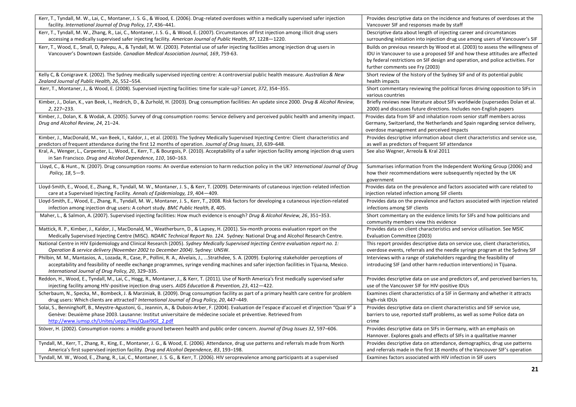| Kerr, T., Tyndall, M. W., Lai, C., Montaner, J. S. G., & Wood, E. (2006). Drug-related overdoses within a medically supervised safer injection                                                                                                                                                                                                     | Provides descriptive data on the incidence and features of overdoses at the                                                                                                                                                                                                         |
|----------------------------------------------------------------------------------------------------------------------------------------------------------------------------------------------------------------------------------------------------------------------------------------------------------------------------------------------------|-------------------------------------------------------------------------------------------------------------------------------------------------------------------------------------------------------------------------------------------------------------------------------------|
| facility. International Journal of Drug Policy, 17, 436-441.                                                                                                                                                                                                                                                                                       | Vancouver SIF and responses made by staff                                                                                                                                                                                                                                           |
| Kerr, T., Tyndall, M. W., Zhang, R., Lai, C., Montaner, J. S. G., & Wood, E. (2007). Circumstances of first injection among illicit drug users<br>accessing a medically supervised safer injecting facility. American Journal of Public Health, 97, 1228-1220.                                                                                     | Descriptive data about length of injecting career and circumstances<br>surrounding initiation into injection drug use among users of Vancouver's SIF                                                                                                                                |
| Kerr, T., Wood, E., Small, D. Palepu, A., & Tyndall, M. W. (2003). Potential use of safer injecting facilities among injection drug users in<br>Vancouver's Downtown Eastside. Canadian Medical Association Journal, 169, 759-63.                                                                                                                  | Builds on previous research by Wood et al. (2003) to assess the willingness of<br>IDU in Vancouver to use a proposed SIF and how these attitudes are affected<br>by federal restrictions on SIF design and operation, and police activities. For<br>further comments see Fry (2003) |
| Kelly C, & Conigrave K. (2002). The Sydney medically supervised injecting centre: A controversial public health measure. Australian & New<br>Zealand Journal of Public Health, 26, 552-554.                                                                                                                                                        | Short review of the history of the Sydney SIF and of its potential public<br>health impacts                                                                                                                                                                                         |
| Kerr, T., Montaner, J., & Wood, E. (2008). Supervised injecting facilities: time for scale-up? Lancet, 372, 354-355.                                                                                                                                                                                                                               | Short commentary reviewing the political forces driving opposition to SIFs in<br>various countries                                                                                                                                                                                  |
| Kimber, J., Dolan, K., van Beek, I., Hedrich, D., & Zurhold, H. (2003). Drug consumption facilities: An update since 2000. Drug & Alcohol Review,<br>2, 227-233.                                                                                                                                                                                   | Briefly reviews new literature about SIFs worldwide (supersedes Dolan et al.<br>2000) and discusses future directions. Includes non-English papers                                                                                                                                  |
| Kimber, J., Dolan, K. & Wodak, A. (2005). Survey of drug consumption rooms: Service delivery and perceived public health and amenity impact.<br>Drug and Alcohol Review, 24, 21-24.                                                                                                                                                                | Provides data from SIF and inhalation room senior staff members across<br>Germany, Switzerland, the Netherlands and Spain regarding service delivery,<br>overdose management and perceived impacts                                                                                  |
| Kimber, J., MacDonald, M., van Beek, I., Kaldor, J., et al. (2003). The Sydney Medically Supervised Injecting Centre: Client characteristics and<br>predictors of frequent attendance during the first 12 months of operation. Journal of Drug Issues, 33, 639–648.                                                                                | Provides descriptive information about client characteristics and service use,<br>as well as predictors of frequent SIF attendance                                                                                                                                                  |
| Kral, A., Wenger, L., Carpenter, L., Wood, E., Kerr, T., & Bourgois, P. (2010). Acceptability of a safer injection facility among injection drug users<br>in San Francisco. Drug and Alcohol Dependence, 110, 160-163.                                                                                                                             | See also Wegner, Arreola & Kral 2011                                                                                                                                                                                                                                                |
| Lloyd, C., & Hunt., N. (2007). Drug consumption rooms: An overdue extension to harm reduction policy in the UK? International Journal of Drug<br>Policy, 18, 5-9.                                                                                                                                                                                  | Summarises information from the Independent Working Group (2006) and<br>how their recommendations were subsequently rejected by the UK<br>government                                                                                                                                |
| Lloyd-Smith, E., Wood, E., Zhang, R., Tyndall, M. W., Montaner, J. S., & Kerr, T. (2009). Determinants of cutaneous injection-related infection<br>care at a Supervised Injecting Facility. Annals of Epidemiology, 19, 404–409.                                                                                                                   | Provides data on the prevalence and factors associated with care related to<br>injection related infection among SIF clients                                                                                                                                                        |
| Lloyd-Smith, E., Wood, E., Zhang, R., Tyndall, M. W., Montaner, J. S., Kerr, T., 2008. Risk factors for developing a cutaneous injection-related<br>infection among injection drug users: A cohort study. BMC Public Health, 8, 405.                                                                                                               | Provides data on the prevalence and factors associated with injection related<br>infections among SIF clients                                                                                                                                                                       |
| Maher, L., & Salmon, A. (2007). Supervised injecting facilities: How much evidence is enough? Drug & Alcohol Review, 26, 351-353.                                                                                                                                                                                                                  | Short commentary on the evidence limits for SIFs and how politicians and<br>community members view this evidence                                                                                                                                                                    |
| Mattick, R. P., Kimber, J., Kaldor, J., MacDonald, M., Weatherburn, D., & Lapsey, H. (2001). Six-month process evaluation report on the<br>Medically Supervised Injecting Centre (MISC). NDARC Technical Report No. 124. Sydney: National Drug and Alcohol Research Centre.                                                                        | Provides data on client characteristics and service utilisation. See MSIC<br>Evaluation Committee (2003)                                                                                                                                                                            |
| National Centre in HIV Epidemiology and Clinical Research (2005). Sydney Medically Supervised Injecting Centre evaluation report no. 1:<br>Operation & service delivery (November 2002 to December 2004). Sydney: UNSW.                                                                                                                            | This report provides descriptive data on service use, client characteristics,<br>overdose events, referrals and the needle syringe program at the Sydney SIF                                                                                                                        |
| Philbin, M. M., Mantasios, A., Lozada, R., Case, P., Pollini, R. A., Alvelais, J., Strathdee, S. A. (2009). Exploring stakeholder perceptions of<br>acceptability and feasibility of needle exchange programmes, syringe vending machines and safer injection facilities in Tijuana, Mexico.<br>International Journal of Drug Policy, 20, 329-335. | Interviews with a range of stakeholders regarding the feasibility of<br>introducing SIF (and other harm reduction interventions) in Tijuana.                                                                                                                                        |
| Reddon, H., Wood, E., Tyndall, M., Lai, C., Hogg, R., Montaner, J., & Kerr, T. (2011). Use of North America's first medically supervised safer<br>injecting facility among HIV-positive injection drug users. AIDS Education & Prevention, 23, 412-422.                                                                                            | Provides descriptive data on use and predictors of, and perceived barriers to,<br>use of the Vancouver SIF for HIV-positive IDUs                                                                                                                                                    |
| Scherbaum, N., Specka, M., Bombeck, J. & Marziniak, B. (2009). Drug consumption facility as part of a primary health care centre for problem<br>drug users: Which clients are attracted? International Journal of Drug Policy, 20, 447-449.                                                                                                        | Examines client characteristics of a SIF in Germany and whether it attracts<br>high-risk IDUs                                                                                                                                                                                       |
| Solai, S., Benninghoff, B., Meystre-Agustoni, G., Jeannin, A., & Dubois-Arber, F. (2004). Evaluation de l'espace d'accueil et d'injection "Quai 9" à<br>Genève: Deuxième phase 2003. Lausanne: Institut universitaire de médecine sociale et préventive. Retrieved from<br>http://www.iumsp.ch/Unites/uepp/files/Quai9GE 2.pdf                     | Provides descriptive data on client characteristics and SIF service use,<br>barriers to use, reported staff problems, as well as some Police data on<br>crime                                                                                                                       |
| Stöver, H. (2002). Consumption rooms: a middle ground between health and public order concern. Journal of Drug Issues 32, 597-606.                                                                                                                                                                                                                 | Provides descriptive data on SIFs in Germany, with an emphasis on<br>Hannover. Explores goals and effects of SIFs in a qualitative manner                                                                                                                                           |
| Tyndall, M., Kerr, T., Zhang, R., King, E., Montaner, J. G., & Wood, E. (2006). Attendance, drug use patterns and referrals made from North                                                                                                                                                                                                        | Provides descriptive data on attendance, demographics, drug use patterns                                                                                                                                                                                                            |
| America's first supervised injection facility. Drug and Alcohol Dependence, 83, 193-198.                                                                                                                                                                                                                                                           | and referrals made in the first 18 months of the Vancouver SIF's operation                                                                                                                                                                                                          |
| Tyndall, M. W., Wood, E., Zhang, R., Lai, C., Montaner, J. S. G., & Kerr, T. (2006). HIV seroprevalence among participants at a supervised                                                                                                                                                                                                         | Examines factors associated with HIV infection in SIF users                                                                                                                                                                                                                         |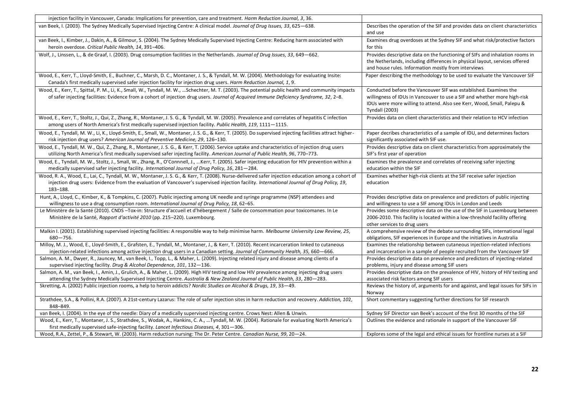| injection facility in Vancouver, Canada: Implications for prevention, care and treatment. Harm Reduction Journal, 3, 36.                                                                                                                                                                                     |                                                                                                                                                                                                                                                 |
|--------------------------------------------------------------------------------------------------------------------------------------------------------------------------------------------------------------------------------------------------------------------------------------------------------------|-------------------------------------------------------------------------------------------------------------------------------------------------------------------------------------------------------------------------------------------------|
| van Beek, I. (2003). The Sydney Medically Supervised Injecting Centre: A clinical model. Journal of Drug Issues, 33, 625–638.                                                                                                                                                                                | Describes the operation of the SIF and provides data on client characteristics<br>and use                                                                                                                                                       |
| van Beek, I., Kimber, J., Dakin, A., & Gilmour, S. (2004). The Sydney Medically Supervised Injecting Centre: Reducing harm associated with<br>heroin overdose. Critical Public Health, 14, 391-406.                                                                                                          | Examines drug overdoses at the Sydney SIF and what risk/protective factors<br>for this                                                                                                                                                          |
| Wolf, J., Linssen, L., & de Graaf, I. (2003). Drug consumption facilities in the Netherlands. Journal of Drug Issues, 33, 649–662.                                                                                                                                                                           | Provides descriptive data on the functioning of SIFs and inhalation rooms in<br>the Netherlands, including differences in physical layout, services offered<br>and house rules. Information mostly from interviews                              |
| Wood, E., Kerr, T., Lloyd-Smith, E., Buchner, C., Marsh, D. C., Montaner, J. S., & Tyndall, M. W. (2004). Methodology for evaluating Insite:<br>Canada's first medically supervised safer injection facility for injection drug users. Harm Reduction Journal, 1, 9.                                         | Paper describing the methodology to be used to evaluate the Vancouver SIF                                                                                                                                                                       |
| Wood, E., Kerr, T., Spittal, P. M., Li, K., Small, W., Tyndall, M. W., Schechter, M. T. (2003). The potential public health and community impacts<br>of safer injecting facilities: Evidence from a cohort of injection drug users. Journal of Acquired Immune Deficiency Syndrome, 32, 2-8.                 | Conducted before the Vancouver SIF was established. Examines the<br>willingness of IDUs in Vancouver to use a SIF and whether more high-risk<br>IDUs were more willing to attend. Also see Kerr, Wood, Small, Palepu &<br><b>Tyndall (2003)</b> |
| Wood, E., Kerr, T., Stoltz, J., Qui, Z., Zhang, R., Montaner, J. S. G., & Tyndall, M. W. (2005). Prevalence and correlates of hepatitis C infection<br>among users of North America's first medically supervised injection facility. Public Health, 119, 1111-1115.                                          | Provides data on client characteristics and their relation to HCV infection                                                                                                                                                                     |
| Wood, E., Tyndall, M. W., Li, K., Lloyd-Smith, E., Small, W., Montaner, J. S. G., & Kerr, T. (2005). Do supervised injecting facilities attract higher-<br>risk injection drug users? American Journal of Preventive Medicine, 29, 126-130.                                                                  | Paper decribes characteristics of a sample of IDU, and determines factors<br>significantly associated with SIF use.                                                                                                                             |
| Wood, E., Tyndall, M. W., Qui, Z., Zhang, R., Montaner, J. S. G., & Kerr, T. (2006). Service uptake and characteristics of injection drug users<br>utilizing North America's first medically supervised safer injecting facility. American Journal of Public Health, 96, 770-773.                            | Provides descriptive data on client characteristics from approximately the<br>SIF's first year of operation                                                                                                                                     |
| Wood, E., Tyndall, M. W., Stoltz, J., Small, W., Zhang, R., O'Connnell, J., Kerr, T. (2005). Safer injecting education for HIV prevention within a<br>medically supervised safer injecting facility. International Journal of Drug Policy, 16, 281-284.                                                      | Examines the prevalence and correlates of receiving safer injecting<br>education within the SIF                                                                                                                                                 |
| Wood, R. A., Wood, E., Lai, C., Tyndall, M. W., Montaner, J. S. G., & Kerr, T. (2008). Nurse-delivered safer injection education among a cohort of<br>injection drug users: Evidence from the evaluation of Vancouver's supervised injection facility. International Journal of Drug Policy, 19,<br>183-188. | Examines whether high-risk clients at the SIF receive safer injection<br>education                                                                                                                                                              |
| Hunt, A., Lloyd, C., Kimber, K., & Tompkins, C. (2007). Public injecting among UK needle and syringe programme (NSP) attendees and<br>willingness to use a drug consumption room. International Journal of Drug Policy, 18, 62–65.                                                                           | Provides descriptive data on prevalence and predictors of public injecting<br>and willingness to use a SIF among IDUs in London and Leeds                                                                                                       |
| Le Ministère de la Santé (2010). CNDS -Tox-in: Structure d'accueil et d'hébergement / Salle de consommation pour toxicomanes. In Le<br>Ministère de la Santé, Rapport d'activité 2010 (pp. 215-220). Luxembourg.                                                                                             | Provides some descriptive data on the use of the SIF in Luxembourg between<br>2006-2010. This facility is located within a low-threshold facility offering<br>other services to drug users                                                      |
| Malkin I. (2001). Establishing supervised injecting facilities: A responsible way to help minimise harm. Melbourne University Law Review, 25,<br>$680 - 756.$                                                                                                                                                | A comprehensive review of the debate surrounding SIFs, international legal<br>obligations, SIF experiences in Europe and the initiatives in Australia                                                                                           |
| Milloy, M. J., Wood, E., Lloyd-Smith, E., Grafsten, E., Tyndall, M., Montaner, J., & Kerr, T. (2010). Recent incarceration linked to cutaneous<br>injection-related infections among active injection drug users in a Canadian setting. Journal of Community Health, 35, 660-666.                            | Examines the relationship between cutaneous injection-related infections<br>and incarceration in a sample of people recruited from the Vancouver SIF                                                                                            |
| Salmon, A. M., Dwyer, R., Jauncey, M., van Beek, I., Topp, L., & Maher, L. (2009). Injecting related injury and disease among clients of a<br>supervised injecting facility. Drug & Alcohol Dependence, 101, 132-136.                                                                                        | Provides descriptive data on prevalence and predictors of injecting-related<br>problems, injury and disease among SIF users                                                                                                                     |
| Salmon, A. M., van Beek, I., Amin, J., Grulich, A., & Maher, L. (2009). High HIV testing and low HIV prevalence among injecting drug users<br>attending the Sydney Medically Supervised Injecting Centre. Australia & New Zealand Journal of Public Health, 33, 280-283.                                     | Provides descriptive data on the prevalence of HIV, history of HIV testing and<br>associated risk factors among SIF users                                                                                                                       |
| Skretting, A. (2002) Public injection rooms, a help to heroin addicts? Nordic Studies on Alcohol & Drugs, 19, 33-49.                                                                                                                                                                                         | Reviews the history of, arguments for and against, and legal issues for SIFs in<br>Norway                                                                                                                                                       |
| Strathdee, S.A., & Pollini, R.A. (2007). A 21st-century Lazarus: The role of safer injection sites in harm reduction and recovery. Addiction, 102,<br>848-849.                                                                                                                                               | Short commentary suggesting further directions for SIF research                                                                                                                                                                                 |
| van Beek, I. (2004). In the eye of the needle: Diary of a medically supervised injecting centre. Crows Nest: Allen & Unwin.                                                                                                                                                                                  | Sydney SIF Director van Beek's account of the first 30 months of the SIF                                                                                                                                                                        |
| Wood, E., Kerr, T., Montaner, J. S., Strathdee, S., Wodak, A., Hankins, C. A., Tyndall, M. W. (2004). Rationale for evaluating North America's<br>first medically supervised safe-injecting facility. Lancet Infectious Diseases, 4, 301-306.                                                                | Outlines the evidence and rationale in support of the Vancouver SIF                                                                                                                                                                             |
| Wood, R.A., Zettel, P., & Stewart, W. (2003). Harm reduction nursing: The Dr. Peter Centre. Canadian Nurse, 99, 20-24.                                                                                                                                                                                       | Explores some of the legal and ethical issues for frontline nurses at a SIF                                                                                                                                                                     |